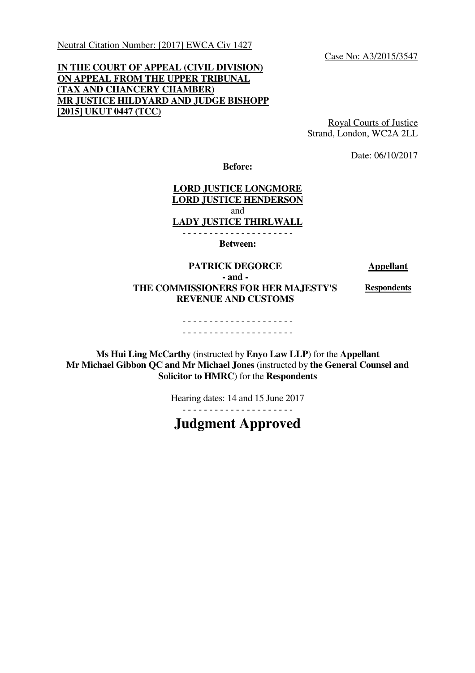Neutral Citation Number: [2017] EWCA Civ 1427

Case No: A3/2015/3547

# **IN THE COURT OF APPEAL (CIVIL DIVISION) ON APPEAL FROM THE UPPER TRIBUNAL (TAX AND CHANCERY CHAMBER) MR JUSTICE HILDYARD AND JUDGE BISHOPP [2015] UKUT 0447 (TCC)**

Royal Courts of Justice Strand, London, WC2A 2LL

Date: 06/10/2017

**Before:** 

## **LORD JUSTICE LONGMORE LORD JUSTICE HENDERSON**  and **LADY JUSTICE THIRLWALL**  - - - - - - - - - - - - - - - - - - - - -

**Between:** 

**PATRICK DEGORCE** Appellant

**- and - THE COMMISSIONERS FOR HER MAJESTY'S REVENUE AND CUSTOMS** 

**Respondents** 

#### - - - - - - - - - - - - - - - - - - - - - - - - - - - - - - - - - - - - - - - - - -

**Ms Hui Ling McCarthy** (instructed by **Enyo Law LLP**) for the **Appellant Mr Michael Gibbon QC and Mr Michael Jones** (instructed by **the General Counsel and Solicitor to HMRC**) for the **Respondents**

Hearing dates: 14 and 15 June 2017

- - - - - - - - - - - - - - - - - - - - -

**Judgment Approved**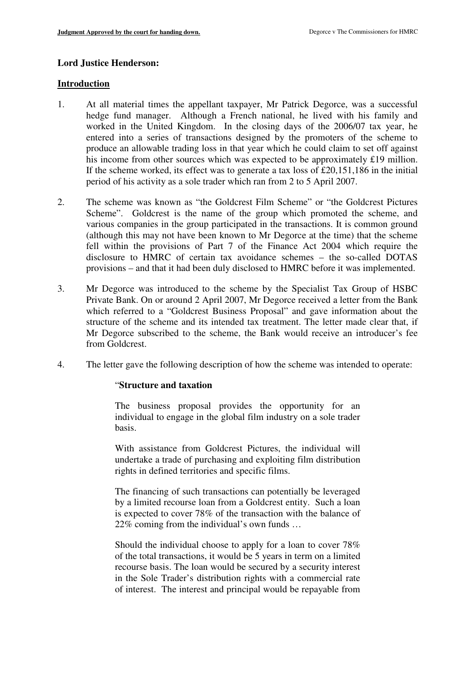#### **Lord Justice Henderson:**

#### **Introduction**

- 1. At all material times the appellant taxpayer, Mr Patrick Degorce, was a successful hedge fund manager. Although a French national, he lived with his family and worked in the United Kingdom. In the closing days of the 2006/07 tax year, he entered into a series of transactions designed by the promoters of the scheme to produce an allowable trading loss in that year which he could claim to set off against his income from other sources which was expected to be approximately £19 million. If the scheme worked, its effect was to generate a tax loss of £20,151,186 in the initial period of his activity as a sole trader which ran from 2 to 5 April 2007.
- 2. The scheme was known as "the Goldcrest Film Scheme" or "the Goldcrest Pictures Scheme". Goldcrest is the name of the group which promoted the scheme, and various companies in the group participated in the transactions. It is common ground (although this may not have been known to Mr Degorce at the time) that the scheme fell within the provisions of Part 7 of the Finance Act 2004 which require the disclosure to HMRC of certain tax avoidance schemes – the so-called DOTAS provisions – and that it had been duly disclosed to HMRC before it was implemented.
- 3. Mr Degorce was introduced to the scheme by the Specialist Tax Group of HSBC Private Bank. On or around 2 April 2007, Mr Degorce received a letter from the Bank which referred to a "Goldcrest Business Proposal" and gave information about the structure of the scheme and its intended tax treatment. The letter made clear that, if Mr Degorce subscribed to the scheme, the Bank would receive an introducer's fee from Goldcrest.
- 4. The letter gave the following description of how the scheme was intended to operate:

#### "**Structure and taxation**

The business proposal provides the opportunity for an individual to engage in the global film industry on a sole trader basis.

With assistance from Goldcrest Pictures, the individual will undertake a trade of purchasing and exploiting film distribution rights in defined territories and specific films.

The financing of such transactions can potentially be leveraged by a limited recourse loan from a Goldcrest entity. Such a loan is expected to cover 78% of the transaction with the balance of 22% coming from the individual's own funds …

Should the individual choose to apply for a loan to cover 78% of the total transactions, it would be 5 years in term on a limited recourse basis. The loan would be secured by a security interest in the Sole Trader's distribution rights with a commercial rate of interest. The interest and principal would be repayable from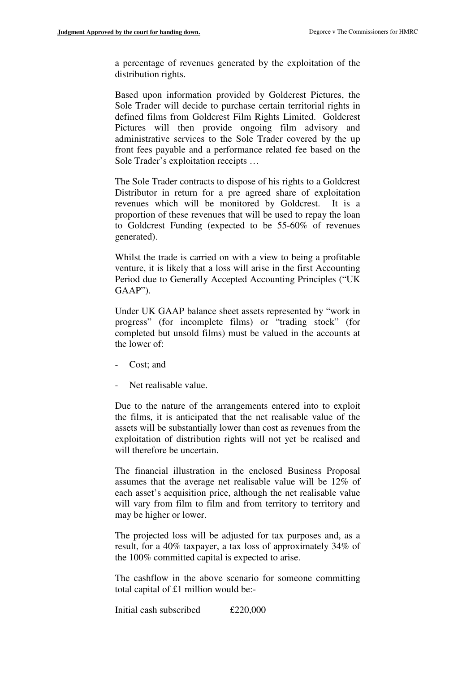a percentage of revenues generated by the exploitation of the distribution rights.

Based upon information provided by Goldcrest Pictures, the Sole Trader will decide to purchase certain territorial rights in defined films from Goldcrest Film Rights Limited. Goldcrest Pictures will then provide ongoing film advisory and administrative services to the Sole Trader covered by the up front fees payable and a performance related fee based on the Sole Trader's exploitation receipts …

The Sole Trader contracts to dispose of his rights to a Goldcrest Distributor in return for a pre agreed share of exploitation revenues which will be monitored by Goldcrest. It is a proportion of these revenues that will be used to repay the loan to Goldcrest Funding (expected to be 55-60% of revenues generated).

Whilst the trade is carried on with a view to being a profitable venture, it is likely that a loss will arise in the first Accounting Period due to Generally Accepted Accounting Principles ("UK GAAP").

Under UK GAAP balance sheet assets represented by "work in progress" (for incomplete films) or "trading stock" (for completed but unsold films) must be valued in the accounts at the lower of:

- Cost; and
- Net realisable value.

Due to the nature of the arrangements entered into to exploit the films, it is anticipated that the net realisable value of the assets will be substantially lower than cost as revenues from the exploitation of distribution rights will not yet be realised and will therefore be uncertain.

The financial illustration in the enclosed Business Proposal assumes that the average net realisable value will be 12% of each asset's acquisition price, although the net realisable value will vary from film to film and from territory to territory and may be higher or lower.

The projected loss will be adjusted for tax purposes and, as a result, for a 40% taxpayer, a tax loss of approximately 34% of the 100% committed capital is expected to arise.

The cashflow in the above scenario for someone committing total capital of £1 million would be:-

Initial cash subscribed £220,000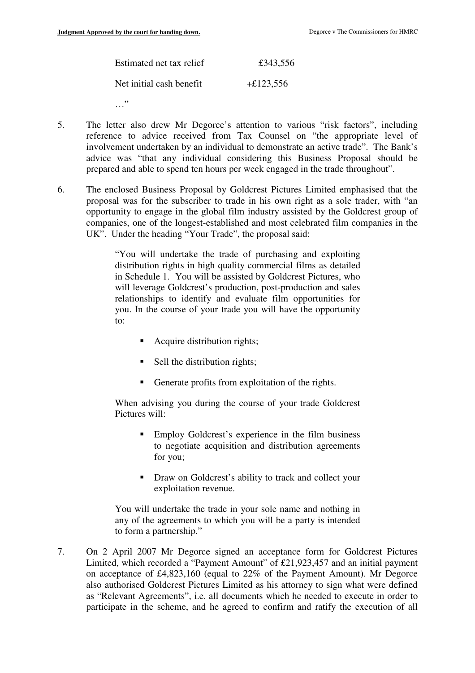| Estimated net tax relief | £343,556    |
|--------------------------|-------------|
| Net initial cash benefit | $+£123,556$ |

- …"
- 5. The letter also drew Mr Degorce's attention to various "risk factors", including reference to advice received from Tax Counsel on "the appropriate level of involvement undertaken by an individual to demonstrate an active trade". The Bank's advice was "that any individual considering this Business Proposal should be prepared and able to spend ten hours per week engaged in the trade throughout".
- 6. The enclosed Business Proposal by Goldcrest Pictures Limited emphasised that the proposal was for the subscriber to trade in his own right as a sole trader, with "an opportunity to engage in the global film industry assisted by the Goldcrest group of companies, one of the longest-established and most celebrated film companies in the UK". Under the heading "Your Trade", the proposal said:

"You will undertake the trade of purchasing and exploiting distribution rights in high quality commercial films as detailed in Schedule 1. You will be assisted by Goldcrest Pictures, who will leverage Goldcrest's production, post-production and sales relationships to identify and evaluate film opportunities for you. In the course of your trade you will have the opportunity to:

- Acquire distribution rights;
- $\blacksquare$  Sell the distribution rights;
- Generate profits from exploitation of the rights.

When advising you during the course of your trade Goldcrest Pictures will:

- **Employ Goldcrest's experience in the film business** to negotiate acquisition and distribution agreements for you;
- **•** Draw on Goldcrest's ability to track and collect your exploitation revenue.

You will undertake the trade in your sole name and nothing in any of the agreements to which you will be a party is intended to form a partnership."

7. On 2 April 2007 Mr Degorce signed an acceptance form for Goldcrest Pictures Limited, which recorded a "Payment Amount" of £21,923,457 and an initial payment on acceptance of £4,823,160 (equal to 22% of the Payment Amount). Mr Degorce also authorised Goldcrest Pictures Limited as his attorney to sign what were defined as "Relevant Agreements", i.e. all documents which he needed to execute in order to participate in the scheme, and he agreed to confirm and ratify the execution of all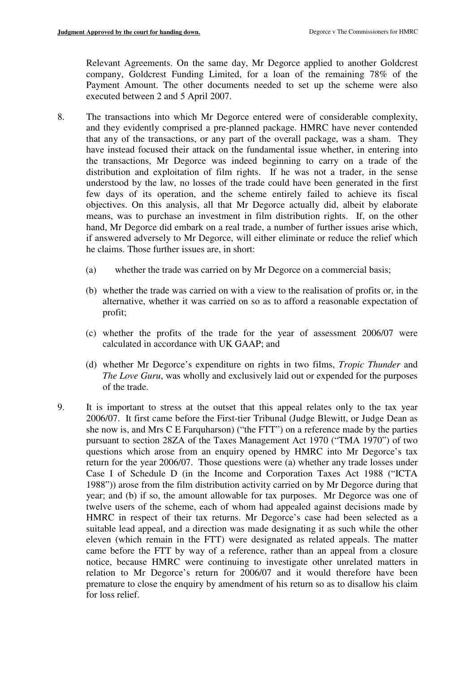Relevant Agreements. On the same day, Mr Degorce applied to another Goldcrest company, Goldcrest Funding Limited, for a loan of the remaining 78% of the Payment Amount. The other documents needed to set up the scheme were also executed between 2 and 5 April 2007.

- 8. The transactions into which Mr Degorce entered were of considerable complexity, and they evidently comprised a pre-planned package. HMRC have never contended that any of the transactions, or any part of the overall package, was a sham. They have instead focused their attack on the fundamental issue whether, in entering into the transactions, Mr Degorce was indeed beginning to carry on a trade of the distribution and exploitation of film rights. If he was not a trader, in the sense understood by the law, no losses of the trade could have been generated in the first few days of its operation, and the scheme entirely failed to achieve its fiscal objectives. On this analysis, all that Mr Degorce actually did, albeit by elaborate means, was to purchase an investment in film distribution rights. If, on the other hand, Mr Degorce did embark on a real trade, a number of further issues arise which, if answered adversely to Mr Degorce, will either eliminate or reduce the relief which he claims. Those further issues are, in short:
	- (a) whether the trade was carried on by Mr Degorce on a commercial basis;
	- (b) whether the trade was carried on with a view to the realisation of profits or, in the alternative, whether it was carried on so as to afford a reasonable expectation of profit;
	- (c) whether the profits of the trade for the year of assessment 2006/07 were calculated in accordance with UK GAAP; and
	- (d) whether Mr Degorce's expenditure on rights in two films, *Tropic Thunder* and *The Love Guru*, was wholly and exclusively laid out or expended for the purposes of the trade.
- 9. It is important to stress at the outset that this appeal relates only to the tax year 2006/07. It first came before the First-tier Tribunal (Judge Blewitt, or Judge Dean as she now is, and Mrs C E Farquharson) ("the FTT") on a reference made by the parties pursuant to section 28ZA of the Taxes Management Act 1970 ("TMA 1970") of two questions which arose from an enquiry opened by HMRC into Mr Degorce's tax return for the year 2006/07. Those questions were (a) whether any trade losses under Case I of Schedule D (in the Income and Corporation Taxes Act 1988 ("ICTA 1988")) arose from the film distribution activity carried on by Mr Degorce during that year; and (b) if so, the amount allowable for tax purposes. Mr Degorce was one of twelve users of the scheme, each of whom had appealed against decisions made by HMRC in respect of their tax returns. Mr Degorce's case had been selected as a suitable lead appeal, and a direction was made designating it as such while the other eleven (which remain in the FTT) were designated as related appeals. The matter came before the FTT by way of a reference, rather than an appeal from a closure notice, because HMRC were continuing to investigate other unrelated matters in relation to Mr Degorce's return for 2006/07 and it would therefore have been premature to close the enquiry by amendment of his return so as to disallow his claim for loss relief.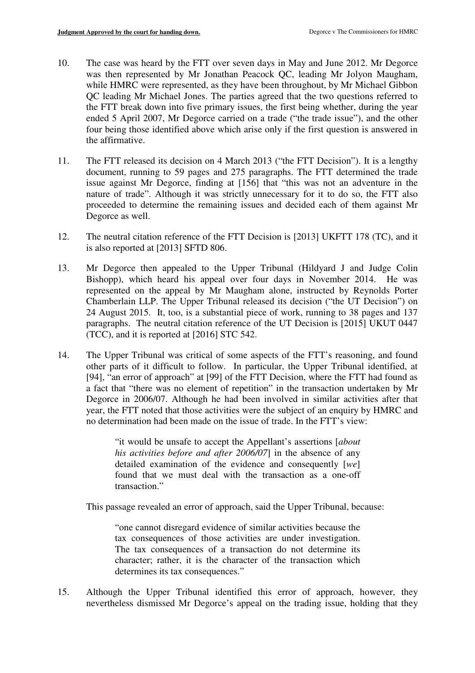- 10. The case was heard by the FTT over seven days in May and June 2012. Mr Degorce was then represented by Mr Jonathan Peacock QC, leading Mr Jolyon Maugham, while HMRC were represented, as they have been throughout, by Mr Michael Gibbon QC leading Mr Michael Jones. The parties agreed that the two questions referred to the FTT break down into five primary issues, the first being whether, during the year ended 5 April 2007, Mr Degorce carried on a trade ("the trade issue"), and the other four being those identified above which arise only if the first question is answered in the affirmative.
- 11. The FTT released its decision on 4 March 2013 ("the FTT Decision"). It is a lengthy document, running to 59 pages and 275 paragraphs. The FTT determined the trade issue against Mr Degorce, finding at [156] that "this was not an adventure in the nature of trade". Although it was strictly unnecessary for it to do so, the FTT also proceeded to determine the remaining issues and decided each of them against Mr Degorce as well.
- 12. The neutral citation reference of the FTT Decision is [2013] UKFTT 178 (TC), and it is also reported at [2013] SFTD 806.
- 13. Mr Degorce then appealed to the Upper Tribunal (Hildyard J and Judge Colin Bishopp), which heard his appeal over four days in November 2014. He was represented on the appeal by Mr Maugham alone, instructed by Reynolds Porter Chamberlain LLP. The Upper Tribunal released its decision ("the UT Decision") on 24 August 2015. It, too, is a substantial piece of work, running to 38 pages and 137 paragraphs. The neutral citation reference of the UT Decision is [2015] UKUT 0447 (TCC), and it is reported at [2016] STC 542.
- 14. The Upper Tribunal was critical of some aspects of the FTT's reasoning, and found other parts of it difficult to follow. In particular, the Upper Tribunal identified, at [94], "an error of approach" at [99] of the FTT Decision, where the FTT had found as a fact that "there was no element of repetition" in the transaction undertaken by Mr Degorce in 2006/07. Although he had been involved in similar activities after that year, the FTT noted that those activities were the subject of an enquiry by HMRC and no determination had been made on the issue of trade. In the FTT's view:

"it would be unsafe to accept the Appellant's assertions [*about his activities before and after 2006/07*] in the absence of any detailed examination of the evidence and consequently [*we*] found that we must deal with the transaction as a one-off transaction."

This passage revealed an error of approach, said the Upper Tribunal, because:

"one cannot disregard evidence of similar activities because the tax consequences of those activities are under investigation. The tax consequences of a transaction do not determine its character; rather, it is the character of the transaction which determines its tax consequences."

15. Although the Upper Tribunal identified this error of approach, however, they nevertheless dismissed Mr Degorce's appeal on the trading issue, holding that they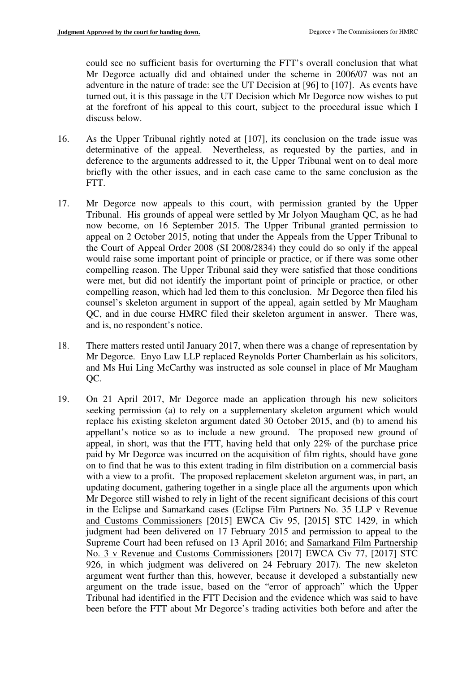could see no sufficient basis for overturning the FTT's overall conclusion that what Mr Degorce actually did and obtained under the scheme in 2006/07 was not an adventure in the nature of trade: see the UT Decision at [96] to [107]. As events have turned out, it is this passage in the UT Decision which Mr Degorce now wishes to put at the forefront of his appeal to this court, subject to the procedural issue which I discuss below.

- 16. As the Upper Tribunal rightly noted at [107], its conclusion on the trade issue was determinative of the appeal. Nevertheless, as requested by the parties, and in deference to the arguments addressed to it, the Upper Tribunal went on to deal more briefly with the other issues, and in each case came to the same conclusion as the FTT.
- 17. Mr Degorce now appeals to this court, with permission granted by the Upper Tribunal. His grounds of appeal were settled by Mr Jolyon Maugham QC, as he had now become, on 16 September 2015. The Upper Tribunal granted permission to appeal on 2 October 2015, noting that under the Appeals from the Upper Tribunal to the Court of Appeal Order 2008 (SI 2008/2834) they could do so only if the appeal would raise some important point of principle or practice, or if there was some other compelling reason. The Upper Tribunal said they were satisfied that those conditions were met, but did not identify the important point of principle or practice, or other compelling reason, which had led them to this conclusion. Mr Degorce then filed his counsel's skeleton argument in support of the appeal, again settled by Mr Maugham QC, and in due course HMRC filed their skeleton argument in answer. There was, and is, no respondent's notice.
- 18. There matters rested until January 2017, when there was a change of representation by Mr Degorce. Enyo Law LLP replaced Reynolds Porter Chamberlain as his solicitors, and Ms Hui Ling McCarthy was instructed as sole counsel in place of Mr Maugham QC.
- 19. On 21 April 2017, Mr Degorce made an application through his new solicitors seeking permission (a) to rely on a supplementary skeleton argument which would replace his existing skeleton argument dated 30 October 2015, and (b) to amend his appellant's notice so as to include a new ground. The proposed new ground of appeal, in short, was that the FTT, having held that only 22% of the purchase price paid by Mr Degorce was incurred on the acquisition of film rights, should have gone on to find that he was to this extent trading in film distribution on a commercial basis with a view to a profit. The proposed replacement skeleton argument was, in part, an updating document, gathering together in a single place all the arguments upon which Mr Degorce still wished to rely in light of the recent significant decisions of this court in the Eclipse and Samarkand cases (Eclipse Film Partners No. 35 LLP v Revenue and Customs Commissioners [2015] EWCA Civ 95, [2015] STC 1429, in which judgment had been delivered on 17 February 2015 and permission to appeal to the Supreme Court had been refused on 13 April 2016; and Samarkand Film Partnership No. 3 v Revenue and Customs Commissioners [2017] EWCA Civ 77, [2017] STC 926, in which judgment was delivered on 24 February 2017). The new skeleton argument went further than this, however, because it developed a substantially new argument on the trade issue, based on the "error of approach" which the Upper Tribunal had identified in the FTT Decision and the evidence which was said to have been before the FTT about Mr Degorce's trading activities both before and after the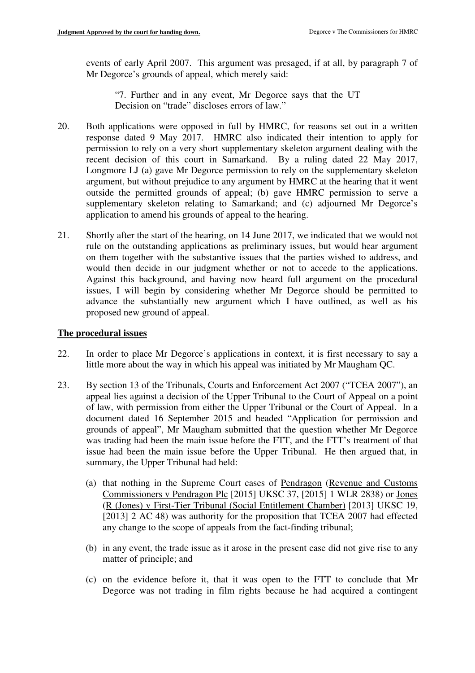events of early April 2007. This argument was presaged, if at all, by paragraph 7 of Mr Degorce's grounds of appeal, which merely said:

"7. Further and in any event, Mr Degorce says that the UT Decision on "trade" discloses errors of law."

- 20. Both applications were opposed in full by HMRC, for reasons set out in a written response dated 9 May 2017. HMRC also indicated their intention to apply for permission to rely on a very short supplementary skeleton argument dealing with the recent decision of this court in Samarkand. By a ruling dated 22 May 2017, Longmore LJ (a) gave Mr Degorce permission to rely on the supplementary skeleton argument, but without prejudice to any argument by HMRC at the hearing that it went outside the permitted grounds of appeal; (b) gave HMRC permission to serve a supplementary skeleton relating to Samarkand; and (c) adjourned Mr Degorce's application to amend his grounds of appeal to the hearing.
- 21. Shortly after the start of the hearing, on 14 June 2017, we indicated that we would not rule on the outstanding applications as preliminary issues, but would hear argument on them together with the substantive issues that the parties wished to address, and would then decide in our judgment whether or not to accede to the applications. Against this background, and having now heard full argument on the procedural issues, I will begin by considering whether Mr Degorce should be permitted to advance the substantially new argument which I have outlined, as well as his proposed new ground of appeal.

# **The procedural issues**

- 22. In order to place Mr Degorce's applications in context, it is first necessary to say a little more about the way in which his appeal was initiated by Mr Maugham QC.
- 23. By section 13 of the Tribunals, Courts and Enforcement Act 2007 ("TCEA 2007"), an appeal lies against a decision of the Upper Tribunal to the Court of Appeal on a point of law, with permission from either the Upper Tribunal or the Court of Appeal. In a document dated 16 September 2015 and headed "Application for permission and grounds of appeal", Mr Maugham submitted that the question whether Mr Degorce was trading had been the main issue before the FTT, and the FTT's treatment of that issue had been the main issue before the Upper Tribunal. He then argued that, in summary, the Upper Tribunal had held:
	- (a) that nothing in the Supreme Court cases of Pendragon (Revenue and Customs Commissioners v Pendragon Plc [2015] UKSC 37, [2015] 1 WLR 2838) or Jones (R (Jones) v First-Tier Tribunal (Social Entitlement Chamber) [2013] UKSC 19, [2013] 2 AC 48) was authority for the proposition that TCEA 2007 had effected any change to the scope of appeals from the fact-finding tribunal;
	- (b) in any event, the trade issue as it arose in the present case did not give rise to any matter of principle; and
	- (c) on the evidence before it, that it was open to the FTT to conclude that Mr Degorce was not trading in film rights because he had acquired a contingent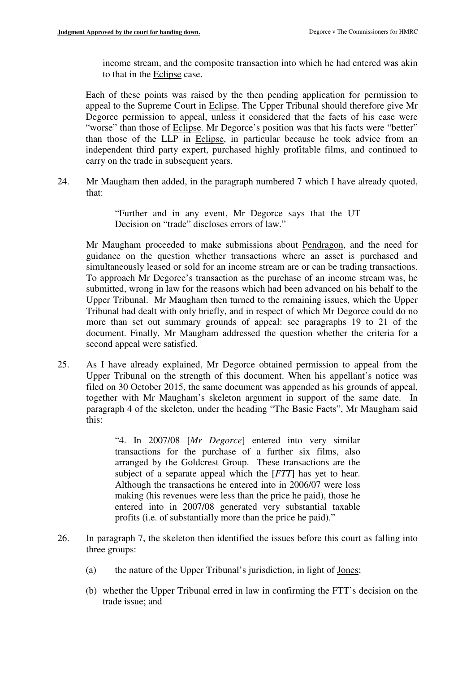income stream, and the composite transaction into which he had entered was akin to that in the Eclipse case.

Each of these points was raised by the then pending application for permission to appeal to the Supreme Court in Eclipse. The Upper Tribunal should therefore give Mr Degorce permission to appeal, unless it considered that the facts of his case were "worse" than those of Eclipse. Mr Degorce's position was that his facts were "better" than those of the LLP in Eclipse, in particular because he took advice from an independent third party expert, purchased highly profitable films, and continued to carry on the trade in subsequent years.

24. Mr Maugham then added, in the paragraph numbered 7 which I have already quoted, that:

> "Further and in any event, Mr Degorce says that the UT Decision on "trade" discloses errors of law."

Mr Maugham proceeded to make submissions about Pendragon, and the need for guidance on the question whether transactions where an asset is purchased and simultaneously leased or sold for an income stream are or can be trading transactions. To approach Mr Degorce's transaction as the purchase of an income stream was, he submitted, wrong in law for the reasons which had been advanced on his behalf to the Upper Tribunal. Mr Maugham then turned to the remaining issues, which the Upper Tribunal had dealt with only briefly, and in respect of which Mr Degorce could do no more than set out summary grounds of appeal: see paragraphs 19 to 21 of the document. Finally, Mr Maugham addressed the question whether the criteria for a second appeal were satisfied.

25. As I have already explained, Mr Degorce obtained permission to appeal from the Upper Tribunal on the strength of this document. When his appellant's notice was filed on 30 October 2015, the same document was appended as his grounds of appeal, together with Mr Maugham's skeleton argument in support of the same date. In paragraph 4 of the skeleton, under the heading "The Basic Facts", Mr Maugham said this:

> "4. In 2007/08 [*Mr Degorce*] entered into very similar transactions for the purchase of a further six films, also arranged by the Goldcrest Group. These transactions are the subject of a separate appeal which the [*FTT*] has yet to hear. Although the transactions he entered into in 2006/07 were loss making (his revenues were less than the price he paid), those he entered into in 2007/08 generated very substantial taxable profits (i.e. of substantially more than the price he paid)."

- 26. In paragraph 7, the skeleton then identified the issues before this court as falling into three groups:
	- (a) the nature of the Upper Tribunal's jurisdiction, in light of Jones;
	- (b) whether the Upper Tribunal erred in law in confirming the FTT's decision on the trade issue; and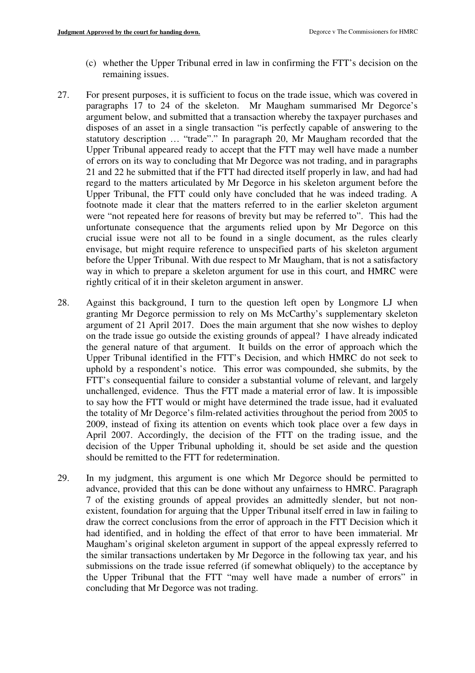- (c) whether the Upper Tribunal erred in law in confirming the FTT's decision on the remaining issues.
- 27. For present purposes, it is sufficient to focus on the trade issue, which was covered in paragraphs 17 to 24 of the skeleton. Mr Maugham summarised Mr Degorce's argument below, and submitted that a transaction whereby the taxpayer purchases and disposes of an asset in a single transaction "is perfectly capable of answering to the statutory description … "trade"." In paragraph 20, Mr Maugham recorded that the Upper Tribunal appeared ready to accept that the FTT may well have made a number of errors on its way to concluding that Mr Degorce was not trading, and in paragraphs 21 and 22 he submitted that if the FTT had directed itself properly in law, and had had regard to the matters articulated by Mr Degorce in his skeleton argument before the Upper Tribunal, the FTT could only have concluded that he was indeed trading. A footnote made it clear that the matters referred to in the earlier skeleton argument were "not repeated here for reasons of brevity but may be referred to". This had the unfortunate consequence that the arguments relied upon by Mr Degorce on this crucial issue were not all to be found in a single document, as the rules clearly envisage, but might require reference to unspecified parts of his skeleton argument before the Upper Tribunal. With due respect to Mr Maugham, that is not a satisfactory way in which to prepare a skeleton argument for use in this court, and HMRC were rightly critical of it in their skeleton argument in answer.
- 28. Against this background, I turn to the question left open by Longmore LJ when granting Mr Degorce permission to rely on Ms McCarthy's supplementary skeleton argument of 21 April 2017. Does the main argument that she now wishes to deploy on the trade issue go outside the existing grounds of appeal? I have already indicated the general nature of that argument. It builds on the error of approach which the Upper Tribunal identified in the FTT's Decision, and which HMRC do not seek to uphold by a respondent's notice. This error was compounded, she submits, by the FTT's consequential failure to consider a substantial volume of relevant, and largely unchallenged, evidence. Thus the FTT made a material error of law. It is impossible to say how the FTT would or might have determined the trade issue, had it evaluated the totality of Mr Degorce's film-related activities throughout the period from 2005 to 2009, instead of fixing its attention on events which took place over a few days in April 2007. Accordingly, the decision of the FTT on the trading issue, and the decision of the Upper Tribunal upholding it, should be set aside and the question should be remitted to the FTT for redetermination.
- 29. In my judgment, this argument is one which Mr Degorce should be permitted to advance, provided that this can be done without any unfairness to HMRC. Paragraph 7 of the existing grounds of appeal provides an admittedly slender, but not nonexistent, foundation for arguing that the Upper Tribunal itself erred in law in failing to draw the correct conclusions from the error of approach in the FTT Decision which it had identified, and in holding the effect of that error to have been immaterial. Mr Maugham's original skeleton argument in support of the appeal expressly referred to the similar transactions undertaken by Mr Degorce in the following tax year, and his submissions on the trade issue referred (if somewhat obliquely) to the acceptance by the Upper Tribunal that the FTT "may well have made a number of errors" in concluding that Mr Degorce was not trading.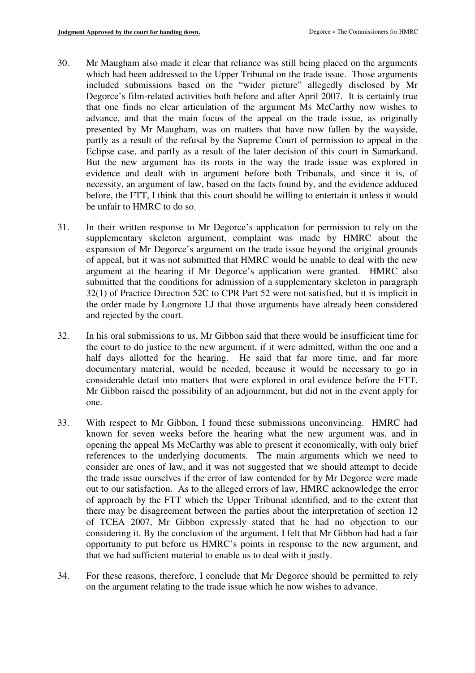- 30. Mr Maugham also made it clear that reliance was still being placed on the arguments which had been addressed to the Upper Tribunal on the trade issue. Those arguments included submissions based on the "wider picture" allegedly disclosed by Mr Degorce's film-related activities both before and after April 2007. It is certainly true that one finds no clear articulation of the argument Ms McCarthy now wishes to advance, and that the main focus of the appeal on the trade issue, as originally presented by Mr Maugham, was on matters that have now fallen by the wayside, partly as a result of the refusal by the Supreme Court of permission to appeal in the Eclipse case, and partly as a result of the later decision of this court in Samarkand. But the new argument has its roots in the way the trade issue was explored in evidence and dealt with in argument before both Tribunals, and since it is, of necessity, an argument of law, based on the facts found by, and the evidence adduced before, the FTT, I think that this court should be willing to entertain it unless it would be unfair to HMRC to do so.
- 31. In their written response to Mr Degorce's application for permission to rely on the supplementary skeleton argument, complaint was made by HMRC about the expansion of Mr Degorce's argument on the trade issue beyond the original grounds of appeal, but it was not submitted that HMRC would be unable to deal with the new argument at the hearing if Mr Degorce's application were granted. HMRC also submitted that the conditions for admission of a supplementary skeleton in paragraph 32(1) of Practice Direction 52C to CPR Part 52 were not satisfied, but it is implicit in the order made by Longmore LJ that those arguments have already been considered and rejected by the court.
- 32. In his oral submissions to us, Mr Gibbon said that there would be insufficient time for the court to do justice to the new argument, if it were admitted, within the one and a half days allotted for the hearing. He said that far more time, and far more documentary material, would be needed, because it would be necessary to go in considerable detail into matters that were explored in oral evidence before the FTT. Mr Gibbon raised the possibility of an adjournment, but did not in the event apply for one.
- 33. With respect to Mr Gibbon, I found these submissions unconvincing. HMRC had known for seven weeks before the hearing what the new argument was, and in opening the appeal Ms McCarthy was able to present it economically, with only brief references to the underlying documents. The main arguments which we need to consider are ones of law, and it was not suggested that we should attempt to decide the trade issue ourselves if the error of law contended for by Mr Degorce were made out to our satisfaction. As to the alleged errors of law, HMRC acknowledge the error of approach by the FTT which the Upper Tribunal identified, and to the extent that there may be disagreement between the parties about the interpretation of section 12 of TCEA 2007, Mr Gibbon expressly stated that he had no objection to our considering it. By the conclusion of the argument, I felt that Mr Gibbon had had a fair opportunity to put before us HMRC's points in response to the new argument, and that we had sufficient material to enable us to deal with it justly.
- 34. For these reasons, therefore, I conclude that Mr Degorce should be permitted to rely on the argument relating to the trade issue which he now wishes to advance.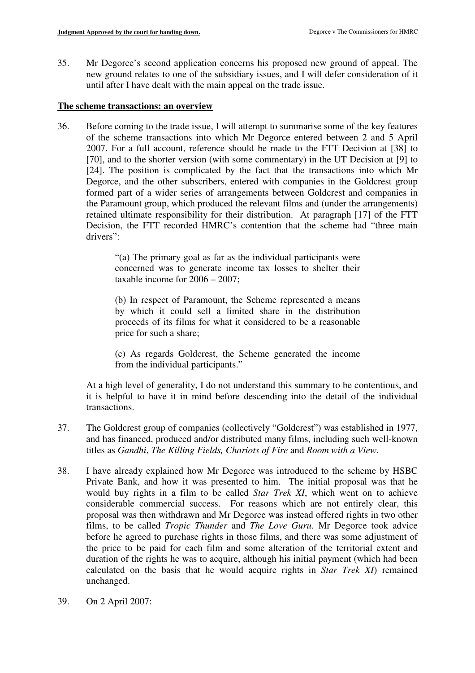35. Mr Degorce's second application concerns his proposed new ground of appeal. The new ground relates to one of the subsidiary issues, and I will defer consideration of it until after I have dealt with the main appeal on the trade issue.

## **The scheme transactions: an overview**

36. Before coming to the trade issue, I will attempt to summarise some of the key features of the scheme transactions into which Mr Degorce entered between 2 and 5 April 2007. For a full account, reference should be made to the FTT Decision at [38] to [70], and to the shorter version (with some commentary) in the UT Decision at [9] to [24]. The position is complicated by the fact that the transactions into which Mr Degorce, and the other subscribers, entered with companies in the Goldcrest group formed part of a wider series of arrangements between Goldcrest and companies in the Paramount group, which produced the relevant films and (under the arrangements) retained ultimate responsibility for their distribution. At paragraph [17] of the FTT Decision, the FTT recorded HMRC's contention that the scheme had "three main drivers":

> "(a) The primary goal as far as the individual participants were concerned was to generate income tax losses to shelter their taxable income for 2006 – 2007;

> (b) In respect of Paramount, the Scheme represented a means by which it could sell a limited share in the distribution proceeds of its films for what it considered to be a reasonable price for such a share;

> (c) As regards Goldcrest, the Scheme generated the income from the individual participants."

At a high level of generality, I do not understand this summary to be contentious, and it is helpful to have it in mind before descending into the detail of the individual transactions.

- 37. The Goldcrest group of companies (collectively "Goldcrest") was established in 1977, and has financed, produced and/or distributed many films, including such well-known titles as *Gandhi*, *The Killing Fields, Chariots of Fire* and *Room with a View*.
- 38. I have already explained how Mr Degorce was introduced to the scheme by HSBC Private Bank, and how it was presented to him. The initial proposal was that he would buy rights in a film to be called *Star Trek XI*, which went on to achieve considerable commercial success. For reasons which are not entirely clear, this proposal was then withdrawn and Mr Degorce was instead offered rights in two other films, to be called *Tropic Thunder* and *The Love Guru.* Mr Degorce took advice before he agreed to purchase rights in those films, and there was some adjustment of the price to be paid for each film and some alteration of the territorial extent and duration of the rights he was to acquire, although his initial payment (which had been calculated on the basis that he would acquire rights in *Star Trek XI*) remained unchanged.
- 39. On 2 April 2007: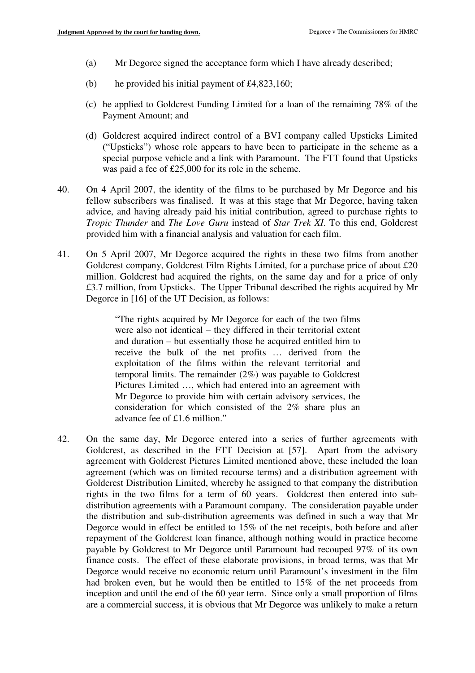- (a) Mr Degorce signed the acceptance form which I have already described;
- (b) he provided his initial payment of £4,823,160;
- (c) he applied to Goldcrest Funding Limited for a loan of the remaining 78% of the Payment Amount; and
- (d) Goldcrest acquired indirect control of a BVI company called Upsticks Limited ("Upsticks") whose role appears to have been to participate in the scheme as a special purpose vehicle and a link with Paramount. The FTT found that Upsticks was paid a fee of £25,000 for its role in the scheme.
- 40. On 4 April 2007, the identity of the films to be purchased by Mr Degorce and his fellow subscribers was finalised. It was at this stage that Mr Degorce, having taken advice, and having already paid his initial contribution, agreed to purchase rights to *Tropic Thunder* and *The Love Guru* instead of *Star Trek XI*. To this end, Goldcrest provided him with a financial analysis and valuation for each film.
- 41. On 5 April 2007, Mr Degorce acquired the rights in these two films from another Goldcrest company, Goldcrest Film Rights Limited, for a purchase price of about £20 million. Goldcrest had acquired the rights, on the same day and for a price of only £3.7 million, from Upsticks. The Upper Tribunal described the rights acquired by Mr Degorce in [16] of the UT Decision, as follows:

"The rights acquired by Mr Degorce for each of the two films were also not identical – they differed in their territorial extent and duration – but essentially those he acquired entitled him to receive the bulk of the net profits … derived from the exploitation of the films within the relevant territorial and temporal limits. The remainder (2%) was payable to Goldcrest Pictures Limited …, which had entered into an agreement with Mr Degorce to provide him with certain advisory services, the consideration for which consisted of the 2% share plus an advance fee of £1.6 million."

42. On the same day, Mr Degorce entered into a series of further agreements with Goldcrest, as described in the FTT Decision at [57]. Apart from the advisory agreement with Goldcrest Pictures Limited mentioned above, these included the loan agreement (which was on limited recourse terms) and a distribution agreement with Goldcrest Distribution Limited, whereby he assigned to that company the distribution rights in the two films for a term of 60 years. Goldcrest then entered into subdistribution agreements with a Paramount company. The consideration payable under the distribution and sub-distribution agreements was defined in such a way that Mr Degorce would in effect be entitled to 15% of the net receipts, both before and after repayment of the Goldcrest loan finance, although nothing would in practice become payable by Goldcrest to Mr Degorce until Paramount had recouped 97% of its own finance costs. The effect of these elaborate provisions, in broad terms, was that Mr Degorce would receive no economic return until Paramount's investment in the film had broken even, but he would then be entitled to 15% of the net proceeds from inception and until the end of the 60 year term. Since only a small proportion of films are a commercial success, it is obvious that Mr Degorce was unlikely to make a return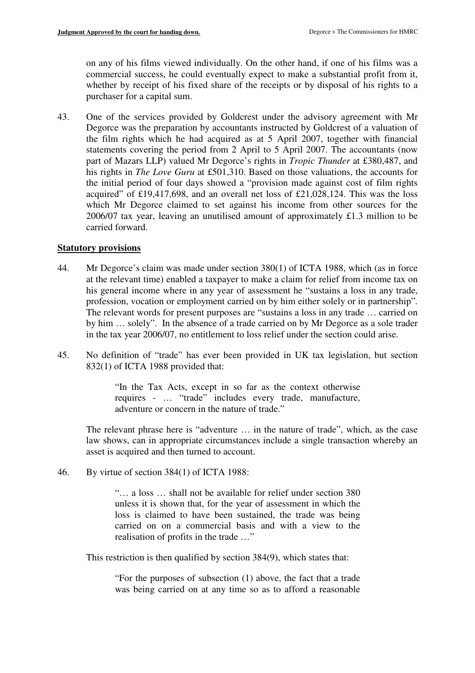on any of his films viewed individually. On the other hand, if one of his films was a commercial success, he could eventually expect to make a substantial profit from it, whether by receipt of his fixed share of the receipts or by disposal of his rights to a purchaser for a capital sum.

43. One of the services provided by Goldcrest under the advisory agreement with Mr Degorce was the preparation by accountants instructed by Goldcrest of a valuation of the film rights which he had acquired as at 5 April 2007, together with financial statements covering the period from 2 April to 5 April 2007. The accountants (now part of Mazars LLP) valued Mr Degorce's rights in *Tropic Thunder* at £380,487, and his rights in *The Love Guru* at £501,310. Based on those valuations, the accounts for the initial period of four days showed a "provision made against cost of film rights acquired" of £19,417,698, and an overall net loss of £21,028,124. This was the loss which Mr Degorce claimed to set against his income from other sources for the 2006/07 tax year, leaving an unutilised amount of approximately £1.3 million to be carried forward.

## **Statutory provisions**

- 44. Mr Degorce's claim was made under section 380(1) of ICTA 1988, which (as in force at the relevant time) enabled a taxpayer to make a claim for relief from income tax on his general income where in any year of assessment he "sustains a loss in any trade, profession, vocation or employment carried on by him either solely or in partnership". The relevant words for present purposes are "sustains a loss in any trade … carried on by him … solely". In the absence of a trade carried on by Mr Degorce as a sole trader in the tax year 2006/07, no entitlement to loss relief under the section could arise.
- 45. No definition of "trade" has ever been provided in UK tax legislation, but section 832(1) of ICTA 1988 provided that:

"In the Tax Acts, except in so far as the context otherwise requires - … "trade" includes every trade, manufacture, adventure or concern in the nature of trade."

The relevant phrase here is "adventure … in the nature of trade", which, as the case law shows, can in appropriate circumstances include a single transaction whereby an asset is acquired and then turned to account.

46. By virtue of section 384(1) of ICTA 1988:

"… a loss … shall not be available for relief under section 380 unless it is shown that, for the year of assessment in which the loss is claimed to have been sustained, the trade was being carried on on a commercial basis and with a view to the realisation of profits in the trade …"

This restriction is then qualified by section 384(9), which states that:

"For the purposes of subsection (1) above, the fact that a trade was being carried on at any time so as to afford a reasonable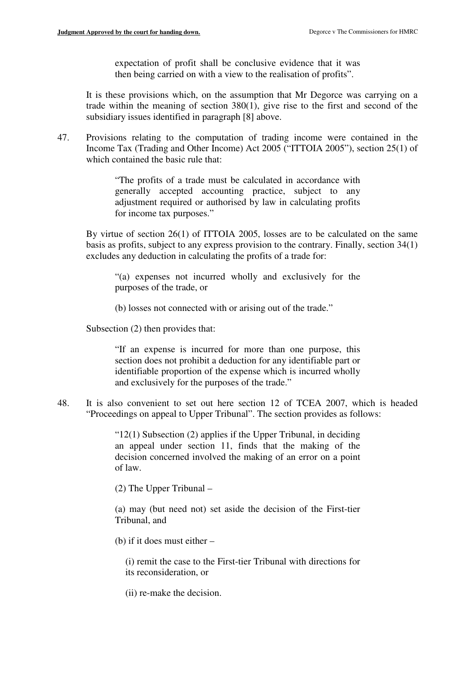expectation of profit shall be conclusive evidence that it was then being carried on with a view to the realisation of profits".

It is these provisions which, on the assumption that Mr Degorce was carrying on a trade within the meaning of section 380(1), give rise to the first and second of the subsidiary issues identified in paragraph [8] above.

47. Provisions relating to the computation of trading income were contained in the Income Tax (Trading and Other Income) Act 2005 ("ITTOIA 2005"), section 25(1) of which contained the basic rule that:

> "The profits of a trade must be calculated in accordance with generally accepted accounting practice, subject to any adjustment required or authorised by law in calculating profits for income tax purposes."

By virtue of section 26(1) of ITTOIA 2005, losses are to be calculated on the same basis as profits, subject to any express provision to the contrary. Finally, section 34(1) excludes any deduction in calculating the profits of a trade for:

"(a) expenses not incurred wholly and exclusively for the purposes of the trade, or

(b) losses not connected with or arising out of the trade."

Subsection (2) then provides that:

"If an expense is incurred for more than one purpose, this section does not prohibit a deduction for any identifiable part or identifiable proportion of the expense which is incurred wholly and exclusively for the purposes of the trade."

48. It is also convenient to set out here section 12 of TCEA 2007, which is headed "Proceedings on appeal to Upper Tribunal". The section provides as follows:

> " $12(1)$  Subsection (2) applies if the Upper Tribunal, in deciding an appeal under section 11, finds that the making of the decision concerned involved the making of an error on a point of law.

(2) The Upper Tribunal –

(a) may (but need not) set aside the decision of the First-tier Tribunal, and

(b) if it does must either –

(i) remit the case to the First-tier Tribunal with directions for its reconsideration, or

(ii) re-make the decision.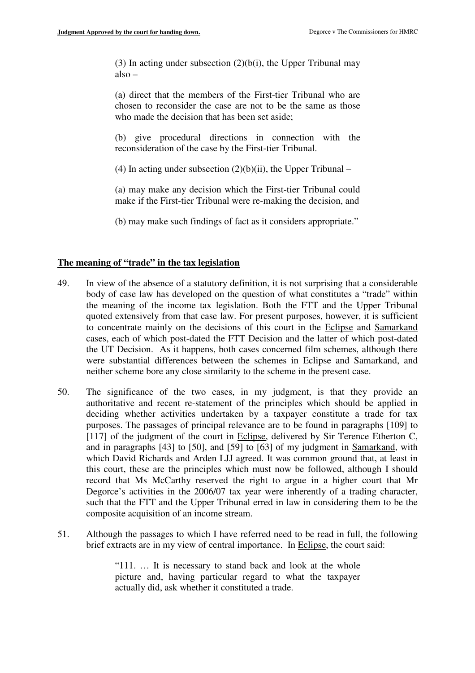(3) In acting under subsection  $(2)(b(i))$ , the Upper Tribunal may also –

(a) direct that the members of the First-tier Tribunal who are chosen to reconsider the case are not to be the same as those who made the decision that has been set aside;

(b) give procedural directions in connection with the reconsideration of the case by the First-tier Tribunal.

(4) In acting under subsection  $(2)(b)(ii)$ , the Upper Tribunal –

(a) may make any decision which the First-tier Tribunal could make if the First-tier Tribunal were re-making the decision, and

(b) may make such findings of fact as it considers appropriate."

## **The meaning of "trade" in the tax legislation**

- 49. In view of the absence of a statutory definition, it is not surprising that a considerable body of case law has developed on the question of what constitutes a "trade" within the meaning of the income tax legislation. Both the FTT and the Upper Tribunal quoted extensively from that case law. For present purposes, however, it is sufficient to concentrate mainly on the decisions of this court in the Eclipse and Samarkand cases, each of which post-dated the FTT Decision and the latter of which post-dated the UT Decision. As it happens, both cases concerned film schemes, although there were substantial differences between the schemes in Eclipse and Samarkand, and neither scheme bore any close similarity to the scheme in the present case.
- 50. The significance of the two cases, in my judgment, is that they provide an authoritative and recent re-statement of the principles which should be applied in deciding whether activities undertaken by a taxpayer constitute a trade for tax purposes. The passages of principal relevance are to be found in paragraphs [109] to [117] of the judgment of the court in Eclipse, delivered by Sir Terence Etherton C, and in paragraphs [43] to [50], and [59] to [63] of my judgment in Samarkand, with which David Richards and Arden LJJ agreed. It was common ground that, at least in this court, these are the principles which must now be followed, although I should record that Ms McCarthy reserved the right to argue in a higher court that Mr Degorce's activities in the 2006/07 tax year were inherently of a trading character, such that the FTT and the Upper Tribunal erred in law in considering them to be the composite acquisition of an income stream.
- 51. Although the passages to which I have referred need to be read in full, the following brief extracts are in my view of central importance. In Eclipse, the court said:

"111. … It is necessary to stand back and look at the whole picture and, having particular regard to what the taxpayer actually did, ask whether it constituted a trade.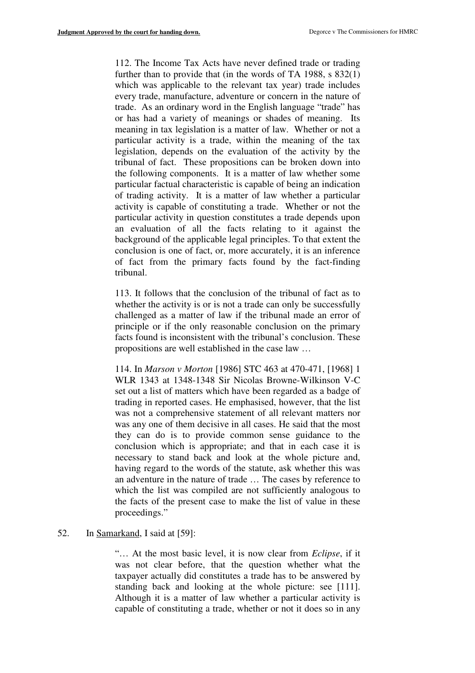112. The Income Tax Acts have never defined trade or trading further than to provide that (in the words of TA 1988, s 832(1) which was applicable to the relevant tax year) trade includes every trade, manufacture, adventure or concern in the nature of trade. As an ordinary word in the English language "trade" has or has had a variety of meanings or shades of meaning. Its meaning in tax legislation is a matter of law. Whether or not a particular activity is a trade, within the meaning of the tax legislation, depends on the evaluation of the activity by the tribunal of fact. These propositions can be broken down into the following components. It is a matter of law whether some particular factual characteristic is capable of being an indication of trading activity. It is a matter of law whether a particular activity is capable of constituting a trade. Whether or not the particular activity in question constitutes a trade depends upon an evaluation of all the facts relating to it against the background of the applicable legal principles. To that extent the conclusion is one of fact, or, more accurately, it is an inference of fact from the primary facts found by the fact-finding tribunal.

113. It follows that the conclusion of the tribunal of fact as to whether the activity is or is not a trade can only be successfully challenged as a matter of law if the tribunal made an error of principle or if the only reasonable conclusion on the primary facts found is inconsistent with the tribunal's conclusion. These propositions are well established in the case law …

114. In *Marson v Morton* [1986] STC 463 at 470-471, [1968] 1 WLR 1343 at 1348-1348 Sir Nicolas Browne-Wilkinson V-C set out a list of matters which have been regarded as a badge of trading in reported cases. He emphasised, however, that the list was not a comprehensive statement of all relevant matters nor was any one of them decisive in all cases. He said that the most they can do is to provide common sense guidance to the conclusion which is appropriate; and that in each case it is necessary to stand back and look at the whole picture and, having regard to the words of the statute, ask whether this was an adventure in the nature of trade … The cases by reference to which the list was compiled are not sufficiently analogous to the facts of the present case to make the list of value in these proceedings."

## 52. In Samarkand, I said at [59]:

"… At the most basic level, it is now clear from *Eclipse*, if it was not clear before, that the question whether what the taxpayer actually did constitutes a trade has to be answered by standing back and looking at the whole picture: see [111]. Although it is a matter of law whether a particular activity is capable of constituting a trade, whether or not it does so in any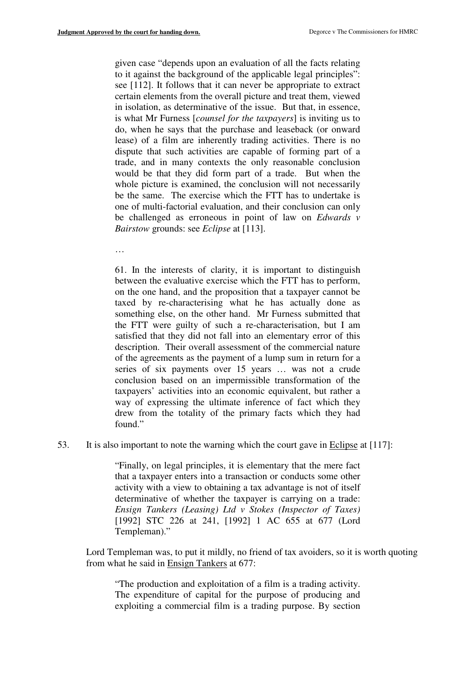given case "depends upon an evaluation of all the facts relating to it against the background of the applicable legal principles": see [112]. It follows that it can never be appropriate to extract certain elements from the overall picture and treat them, viewed in isolation, as determinative of the issue. But that, in essence, is what Mr Furness [*counsel for the taxpayers*] is inviting us to do, when he says that the purchase and leaseback (or onward lease) of a film are inherently trading activities. There is no dispute that such activities are capable of forming part of a trade, and in many contexts the only reasonable conclusion would be that they did form part of a trade. But when the whole picture is examined, the conclusion will not necessarily be the same. The exercise which the FTT has to undertake is one of multi-factorial evaluation, and their conclusion can only be challenged as erroneous in point of law on *Edwards v Bairstow* grounds: see *Eclipse* at [113].

…

61. In the interests of clarity, it is important to distinguish between the evaluative exercise which the FTT has to perform, on the one hand, and the proposition that a taxpayer cannot be taxed by re-characterising what he has actually done as something else, on the other hand. Mr Furness submitted that the FTT were guilty of such a re-characterisation, but I am satisfied that they did not fall into an elementary error of this description. Their overall assessment of the commercial nature of the agreements as the payment of a lump sum in return for a series of six payments over 15 years … was not a crude conclusion based on an impermissible transformation of the taxpayers' activities into an economic equivalent, but rather a way of expressing the ultimate inference of fact which they drew from the totality of the primary facts which they had found."

53. It is also important to note the warning which the court gave in Eclipse at [117]:

"Finally, on legal principles, it is elementary that the mere fact that a taxpayer enters into a transaction or conducts some other activity with a view to obtaining a tax advantage is not of itself determinative of whether the taxpayer is carrying on a trade: *Ensign Tankers (Leasing) Ltd v Stokes (Inspector of Taxes)* [1992] STC 226 at 241, [1992] 1 AC 655 at 677 (Lord Templeman)."

Lord Templeman was, to put it mildly, no friend of tax avoiders, so it is worth quoting from what he said in Ensign Tankers at 677:

"The production and exploitation of a film is a trading activity. The expenditure of capital for the purpose of producing and exploiting a commercial film is a trading purpose. By section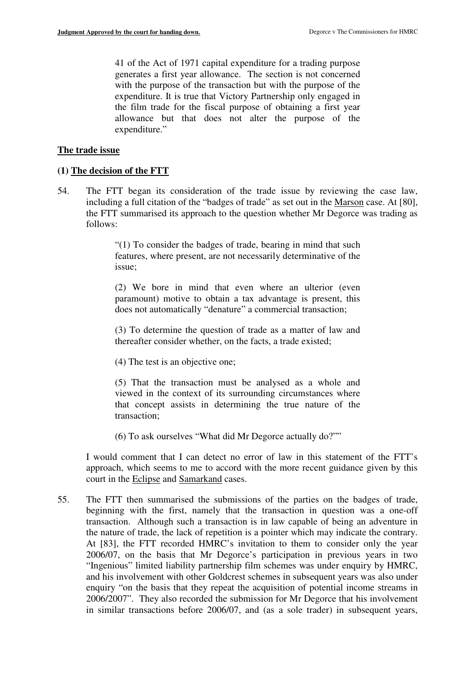41 of the Act of 1971 capital expenditure for a trading purpose generates a first year allowance. The section is not concerned with the purpose of the transaction but with the purpose of the expenditure. It is true that Victory Partnership only engaged in the film trade for the fiscal purpose of obtaining a first year allowance but that does not alter the purpose of the expenditure."

#### **The trade issue**

#### **(1) The decision of the FTT**

54. The FTT began its consideration of the trade issue by reviewing the case law, including a full citation of the "badges of trade" as set out in the Marson case. At [80], the FTT summarised its approach to the question whether Mr Degorce was trading as follows:

> "(1) To consider the badges of trade, bearing in mind that such features, where present, are not necessarily determinative of the issue;

> (2) We bore in mind that even where an ulterior (even paramount) motive to obtain a tax advantage is present, this does not automatically "denature" a commercial transaction;

> (3) To determine the question of trade as a matter of law and thereafter consider whether, on the facts, a trade existed;

(4) The test is an objective one;

(5) That the transaction must be analysed as a whole and viewed in the context of its surrounding circumstances where that concept assists in determining the true nature of the transaction;

(6) To ask ourselves "What did Mr Degorce actually do?""

I would comment that I can detect no error of law in this statement of the FTT's approach, which seems to me to accord with the more recent guidance given by this court in the Eclipse and Samarkand cases.

55. The FTT then summarised the submissions of the parties on the badges of trade, beginning with the first, namely that the transaction in question was a one-off transaction. Although such a transaction is in law capable of being an adventure in the nature of trade, the lack of repetition is a pointer which may indicate the contrary. At [83], the FTT recorded HMRC's invitation to them to consider only the year 2006/07, on the basis that Mr Degorce's participation in previous years in two "Ingenious" limited liability partnership film schemes was under enquiry by HMRC, and his involvement with other Goldcrest schemes in subsequent years was also under enquiry "on the basis that they repeat the acquisition of potential income streams in 2006/2007". They also recorded the submission for Mr Degorce that his involvement in similar transactions before 2006/07, and (as a sole trader) in subsequent years,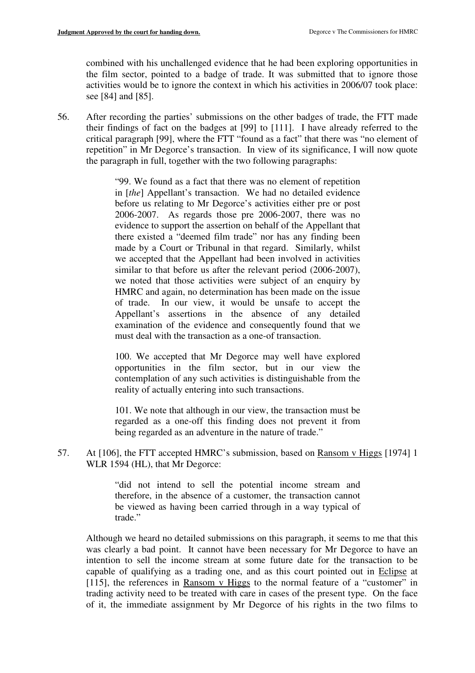combined with his unchallenged evidence that he had been exploring opportunities in the film sector, pointed to a badge of trade. It was submitted that to ignore those activities would be to ignore the context in which his activities in 2006/07 took place: see [84] and [85].

56. After recording the parties' submissions on the other badges of trade, the FTT made their findings of fact on the badges at [99] to [111]. I have already referred to the critical paragraph [99], where the FTT "found as a fact" that there was "no element of repetition" in Mr Degorce's transaction. In view of its significance, I will now quote the paragraph in full, together with the two following paragraphs:

> "99. We found as a fact that there was no element of repetition in [*the*] Appellant's transaction. We had no detailed evidence before us relating to Mr Degorce's activities either pre or post 2006-2007. As regards those pre 2006-2007, there was no evidence to support the assertion on behalf of the Appellant that there existed a "deemed film trade" nor has any finding been made by a Court or Tribunal in that regard. Similarly, whilst we accepted that the Appellant had been involved in activities similar to that before us after the relevant period (2006-2007), we noted that those activities were subject of an enquiry by HMRC and again, no determination has been made on the issue of trade. In our view, it would be unsafe to accept the Appellant's assertions in the absence of any detailed examination of the evidence and consequently found that we must deal with the transaction as a one-of transaction.

> 100. We accepted that Mr Degorce may well have explored opportunities in the film sector, but in our view the contemplation of any such activities is distinguishable from the reality of actually entering into such transactions.

> 101. We note that although in our view, the transaction must be regarded as a one-off this finding does not prevent it from being regarded as an adventure in the nature of trade."

57. At [106], the FTT accepted HMRC's submission, based on Ransom v Higgs [1974] 1 WLR 1594 (HL), that Mr Degorce:

> "did not intend to sell the potential income stream and therefore, in the absence of a customer, the transaction cannot be viewed as having been carried through in a way typical of trade."

Although we heard no detailed submissions on this paragraph, it seems to me that this was clearly a bad point. It cannot have been necessary for Mr Degorce to have an intention to sell the income stream at some future date for the transaction to be capable of qualifying as a trading one, and as this court pointed out in Eclipse at [115], the references in Ransom v Higgs to the normal feature of a "customer" in trading activity need to be treated with care in cases of the present type. On the face of it, the immediate assignment by Mr Degorce of his rights in the two films to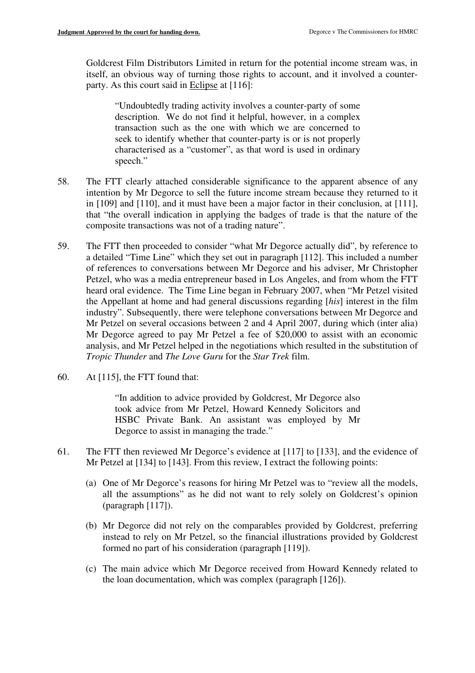Goldcrest Film Distributors Limited in return for the potential income stream was, in itself, an obvious way of turning those rights to account, and it involved a counterparty. As this court said in Eclipse at [116]:

"Undoubtedly trading activity involves a counter-party of some description. We do not find it helpful, however, in a complex transaction such as the one with which we are concerned to seek to identify whether that counter-party is or is not properly characterised as a "customer", as that word is used in ordinary speech."

- 58. The FTT clearly attached considerable significance to the apparent absence of any intention by Mr Degorce to sell the future income stream because they returned to it in [109] and [110], and it must have been a major factor in their conclusion, at [111], that "the overall indication in applying the badges of trade is that the nature of the composite transactions was not of a trading nature".
- 59. The FTT then proceeded to consider "what Mr Degorce actually did", by reference to a detailed "Time Line" which they set out in paragraph [112]. This included a number of references to conversations between Mr Degorce and his adviser, Mr Christopher Petzel, who was a media entrepreneur based in Los Angeles, and from whom the FTT heard oral evidence. The Time Line began in February 2007, when "Mr Petzel visited the Appellant at home and had general discussions regarding [*his*] interest in the film industry". Subsequently, there were telephone conversations between Mr Degorce and Mr Petzel on several occasions between 2 and 4 April 2007, during which (inter alia) Mr Degorce agreed to pay Mr Petzel a fee of \$20,000 to assist with an economic analysis, and Mr Petzel helped in the negotiations which resulted in the substitution of *Tropic Thunder* and *The Love Guru* for the *Star Trek* film.
- 60. At [115], the FTT found that:

"In addition to advice provided by Goldcrest, Mr Degorce also took advice from Mr Petzel, Howard Kennedy Solicitors and HSBC Private Bank. An assistant was employed by Mr Degorce to assist in managing the trade."

- 61. The FTT then reviewed Mr Degorce's evidence at [117] to [133], and the evidence of Mr Petzel at [134] to [143]. From this review, I extract the following points:
	- (a) One of Mr Degorce's reasons for hiring Mr Petzel was to "review all the models, all the assumptions" as he did not want to rely solely on Goldcrest's opinion (paragraph [117]).
	- (b) Mr Degorce did not rely on the comparables provided by Goldcrest, preferring instead to rely on Mr Petzel, so the financial illustrations provided by Goldcrest formed no part of his consideration (paragraph [119]).
	- (c) The main advice which Mr Degorce received from Howard Kennedy related to the loan documentation, which was complex (paragraph [126]).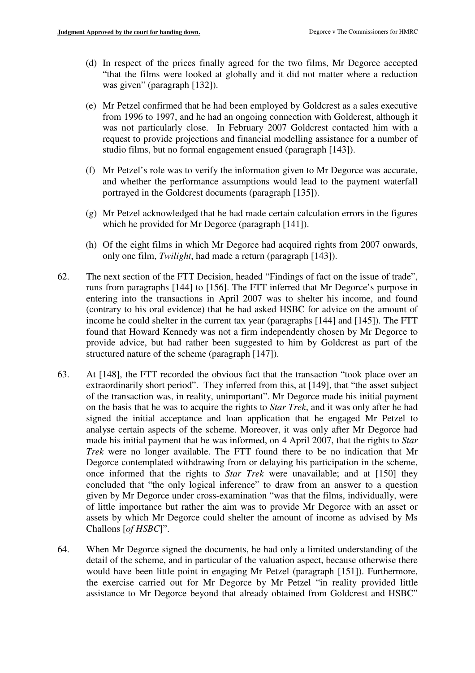- (d) In respect of the prices finally agreed for the two films, Mr Degorce accepted "that the films were looked at globally and it did not matter where a reduction was given" (paragraph [132]).
- (e) Mr Petzel confirmed that he had been employed by Goldcrest as a sales executive from 1996 to 1997, and he had an ongoing connection with Goldcrest, although it was not particularly close. In February 2007 Goldcrest contacted him with a request to provide projections and financial modelling assistance for a number of studio films, but no formal engagement ensued (paragraph [143]).
- (f) Mr Petzel's role was to verify the information given to Mr Degorce was accurate, and whether the performance assumptions would lead to the payment waterfall portrayed in the Goldcrest documents (paragraph [135]).
- (g) Mr Petzel acknowledged that he had made certain calculation errors in the figures which he provided for Mr Degorce (paragraph [141]).
- (h) Of the eight films in which Mr Degorce had acquired rights from 2007 onwards, only one film, *Twilight*, had made a return (paragraph [143]).
- 62. The next section of the FTT Decision, headed "Findings of fact on the issue of trade", runs from paragraphs [144] to [156]. The FTT inferred that Mr Degorce's purpose in entering into the transactions in April 2007 was to shelter his income, and found (contrary to his oral evidence) that he had asked HSBC for advice on the amount of income he could shelter in the current tax year (paragraphs [144] and [145]). The FTT found that Howard Kennedy was not a firm independently chosen by Mr Degorce to provide advice, but had rather been suggested to him by Goldcrest as part of the structured nature of the scheme (paragraph [147]).
- 63. At [148], the FTT recorded the obvious fact that the transaction "took place over an extraordinarily short period". They inferred from this, at [149], that "the asset subject of the transaction was, in reality, unimportant". Mr Degorce made his initial payment on the basis that he was to acquire the rights to *Star Trek*, and it was only after he had signed the initial acceptance and loan application that he engaged Mr Petzel to analyse certain aspects of the scheme. Moreover, it was only after Mr Degorce had made his initial payment that he was informed, on 4 April 2007, that the rights to *Star Trek* were no longer available. The FTT found there to be no indication that Mr Degorce contemplated withdrawing from or delaying his participation in the scheme, once informed that the rights to *Star Trek* were unavailable; and at [150] they concluded that "the only logical inference" to draw from an answer to a question given by Mr Degorce under cross-examination "was that the films, individually, were of little importance but rather the aim was to provide Mr Degorce with an asset or assets by which Mr Degorce could shelter the amount of income as advised by Ms Challons [*of HSBC*]".
- 64. When Mr Degorce signed the documents, he had only a limited understanding of the detail of the scheme, and in particular of the valuation aspect, because otherwise there would have been little point in engaging Mr Petzel (paragraph [151]). Furthermore, the exercise carried out for Mr Degorce by Mr Petzel "in reality provided little assistance to Mr Degorce beyond that already obtained from Goldcrest and HSBC"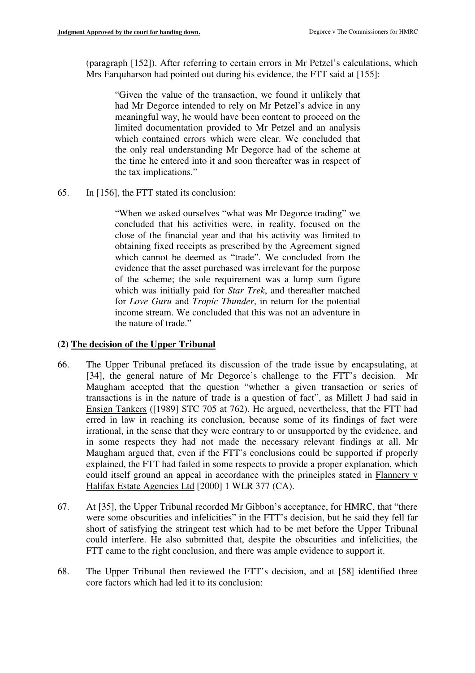(paragraph [152]). After referring to certain errors in Mr Petzel's calculations, which Mrs Farquharson had pointed out during his evidence, the FTT said at [155]:

"Given the value of the transaction, we found it unlikely that had Mr Degorce intended to rely on Mr Petzel's advice in any meaningful way, he would have been content to proceed on the limited documentation provided to Mr Petzel and an analysis which contained errors which were clear. We concluded that the only real understanding Mr Degorce had of the scheme at the time he entered into it and soon thereafter was in respect of the tax implications."

65. In [156], the FTT stated its conclusion:

"When we asked ourselves "what was Mr Degorce trading" we concluded that his activities were, in reality, focused on the close of the financial year and that his activity was limited to obtaining fixed receipts as prescribed by the Agreement signed which cannot be deemed as "trade". We concluded from the evidence that the asset purchased was irrelevant for the purpose of the scheme; the sole requirement was a lump sum figure which was initially paid for *Star Trek*, and thereafter matched for *Love Guru* and *Tropic Thunder*, in return for the potential income stream. We concluded that this was not an adventure in the nature of trade."

## **(2) The decision of the Upper Tribunal**

- 66. The Upper Tribunal prefaced its discussion of the trade issue by encapsulating, at [34], the general nature of Mr Degorce's challenge to the FTT's decision. Mr Maugham accepted that the question "whether a given transaction or series of transactions is in the nature of trade is a question of fact", as Millett J had said in Ensign Tankers ([1989] STC 705 at 762). He argued, nevertheless, that the FTT had erred in law in reaching its conclusion, because some of its findings of fact were irrational, in the sense that they were contrary to or unsupported by the evidence, and in some respects they had not made the necessary relevant findings at all. Mr Maugham argued that, even if the FTT's conclusions could be supported if properly explained, the FTT had failed in some respects to provide a proper explanation, which could itself ground an appeal in accordance with the principles stated in Flannery v Halifax Estate Agencies Ltd [2000] 1 WLR 377 (CA).
- 67. At [35], the Upper Tribunal recorded Mr Gibbon's acceptance, for HMRC, that "there were some obscurities and infelicities" in the FTT's decision, but he said they fell far short of satisfying the stringent test which had to be met before the Upper Tribunal could interfere. He also submitted that, despite the obscurities and infelicities, the FTT came to the right conclusion, and there was ample evidence to support it.
- 68. The Upper Tribunal then reviewed the FTT's decision, and at [58] identified three core factors which had led it to its conclusion: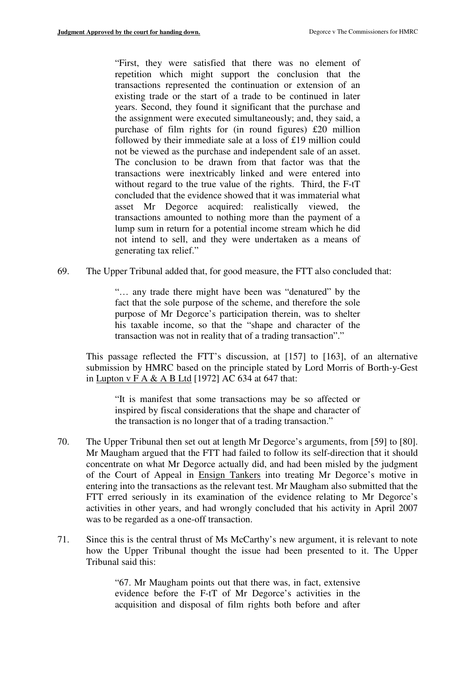"First, they were satisfied that there was no element of repetition which might support the conclusion that the transactions represented the continuation or extension of an existing trade or the start of a trade to be continued in later years. Second, they found it significant that the purchase and the assignment were executed simultaneously; and, they said, a purchase of film rights for (in round figures) £20 million followed by their immediate sale at a loss of £19 million could not be viewed as the purchase and independent sale of an asset. The conclusion to be drawn from that factor was that the transactions were inextricably linked and were entered into without regard to the true value of the rights. Third, the F-tT concluded that the evidence showed that it was immaterial what asset Mr Degorce acquired: realistically viewed, the transactions amounted to nothing more than the payment of a lump sum in return for a potential income stream which he did not intend to sell, and they were undertaken as a means of generating tax relief."

69. The Upper Tribunal added that, for good measure, the FTT also concluded that:

"… any trade there might have been was "denatured" by the fact that the sole purpose of the scheme, and therefore the sole purpose of Mr Degorce's participation therein, was to shelter his taxable income, so that the "shape and character of the transaction was not in reality that of a trading transaction"."

This passage reflected the FTT's discussion, at [157] to [163], of an alternative submission by HMRC based on the principle stated by Lord Morris of Borth-y-Gest in Lupton v F A & A B Ltd [1972] AC 634 at 647 that:

"It is manifest that some transactions may be so affected or inspired by fiscal considerations that the shape and character of the transaction is no longer that of a trading transaction."

- 70. The Upper Tribunal then set out at length Mr Degorce's arguments, from [59] to [80]. Mr Maugham argued that the FTT had failed to follow its self-direction that it should concentrate on what Mr Degorce actually did, and had been misled by the judgment of the Court of Appeal in Ensign Tankers into treating Mr Degorce's motive in entering into the transactions as the relevant test. Mr Maugham also submitted that the FTT erred seriously in its examination of the evidence relating to Mr Degorce's activities in other years, and had wrongly concluded that his activity in April 2007 was to be regarded as a one-off transaction.
- 71. Since this is the central thrust of Ms McCarthy's new argument, it is relevant to note how the Upper Tribunal thought the issue had been presented to it. The Upper Tribunal said this:

"67. Mr Maugham points out that there was, in fact, extensive evidence before the F-tT of Mr Degorce's activities in the acquisition and disposal of film rights both before and after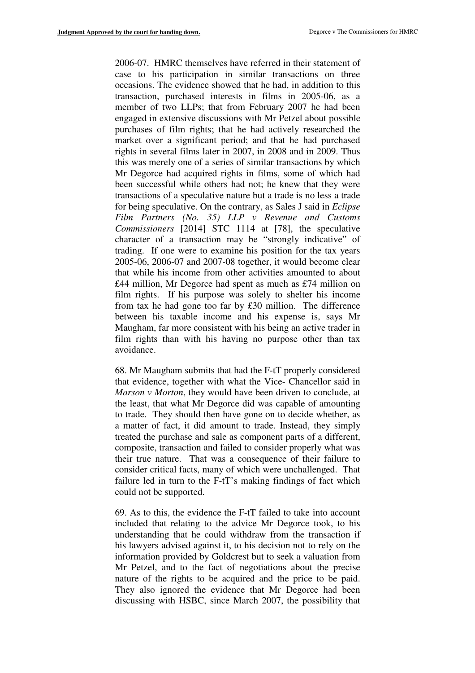2006-07. HMRC themselves have referred in their statement of case to his participation in similar transactions on three occasions. The evidence showed that he had, in addition to this transaction, purchased interests in films in 2005-06, as a member of two LLPs; that from February 2007 he had been engaged in extensive discussions with Mr Petzel about possible purchases of film rights; that he had actively researched the market over a significant period; and that he had purchased rights in several films later in 2007, in 2008 and in 2009. Thus this was merely one of a series of similar transactions by which Mr Degorce had acquired rights in films, some of which had been successful while others had not; he knew that they were transactions of a speculative nature but a trade is no less a trade for being speculative. On the contrary, as Sales J said in *Eclipse Film Partners (No. 35) LLP v Revenue and Customs Commissioners* [2014] STC 1114 at [78], the speculative character of a transaction may be "strongly indicative" of trading. If one were to examine his position for the tax years 2005-06, 2006-07 and 2007-08 together, it would become clear that while his income from other activities amounted to about £44 million, Mr Degorce had spent as much as £74 million on film rights. If his purpose was solely to shelter his income from tax he had gone too far by £30 million. The difference between his taxable income and his expense is, says Mr Maugham, far more consistent with his being an active trader in film rights than with his having no purpose other than tax avoidance.

68. Mr Maugham submits that had the F-tT properly considered that evidence, together with what the Vice- Chancellor said in *Marson v Morton*, they would have been driven to conclude, at the least, that what Mr Degorce did was capable of amounting to trade. They should then have gone on to decide whether, as a matter of fact, it did amount to trade. Instead, they simply treated the purchase and sale as component parts of a different, composite, transaction and failed to consider properly what was their true nature. That was a consequence of their failure to consider critical facts, many of which were unchallenged. That failure led in turn to the F-tT's making findings of fact which could not be supported.

69. As to this, the evidence the F-tT failed to take into account included that relating to the advice Mr Degorce took, to his understanding that he could withdraw from the transaction if his lawyers advised against it, to his decision not to rely on the information provided by Goldcrest but to seek a valuation from Mr Petzel, and to the fact of negotiations about the precise nature of the rights to be acquired and the price to be paid. They also ignored the evidence that Mr Degorce had been discussing with HSBC, since March 2007, the possibility that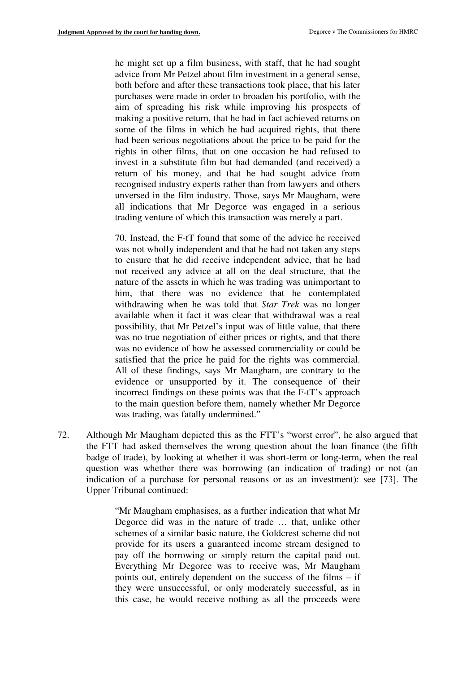he might set up a film business, with staff, that he had sought advice from Mr Petzel about film investment in a general sense, both before and after these transactions took place, that his later purchases were made in order to broaden his portfolio, with the aim of spreading his risk while improving his prospects of making a positive return, that he had in fact achieved returns on some of the films in which he had acquired rights, that there had been serious negotiations about the price to be paid for the rights in other films, that on one occasion he had refused to invest in a substitute film but had demanded (and received) a return of his money, and that he had sought advice from recognised industry experts rather than from lawyers and others unversed in the film industry. Those, says Mr Maugham, were all indications that Mr Degorce was engaged in a serious trading venture of which this transaction was merely a part.

70. Instead, the F-tT found that some of the advice he received was not wholly independent and that he had not taken any steps to ensure that he did receive independent advice, that he had not received any advice at all on the deal structure, that the nature of the assets in which he was trading was unimportant to him, that there was no evidence that he contemplated withdrawing when he was told that *Star Trek* was no longer available when it fact it was clear that withdrawal was a real possibility, that Mr Petzel's input was of little value, that there was no true negotiation of either prices or rights, and that there was no evidence of how he assessed commerciality or could be satisfied that the price he paid for the rights was commercial. All of these findings, says Mr Maugham, are contrary to the evidence or unsupported by it. The consequence of their incorrect findings on these points was that the F-tT's approach to the main question before them, namely whether Mr Degorce was trading, was fatally undermined."

72. Although Mr Maugham depicted this as the FTT's "worst error", he also argued that the FTT had asked themselves the wrong question about the loan finance (the fifth badge of trade), by looking at whether it was short-term or long-term, when the real question was whether there was borrowing (an indication of trading) or not (an indication of a purchase for personal reasons or as an investment): see [73]. The Upper Tribunal continued:

> "Mr Maugham emphasises, as a further indication that what Mr Degorce did was in the nature of trade … that, unlike other schemes of a similar basic nature, the Goldcrest scheme did not provide for its users a guaranteed income stream designed to pay off the borrowing or simply return the capital paid out. Everything Mr Degorce was to receive was, Mr Maugham points out, entirely dependent on the success of the films – if they were unsuccessful, or only moderately successful, as in this case, he would receive nothing as all the proceeds were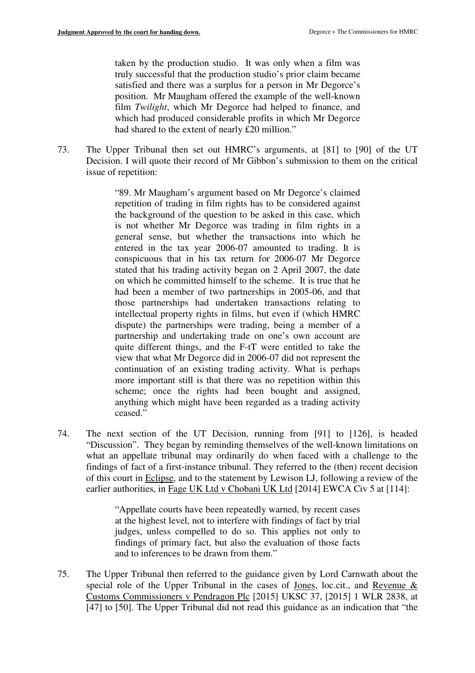taken by the production studio. It was only when a film was truly successful that the production studio's prior claim became satisfied and there was a surplus for a person in Mr Degorce's position. Mr Maugham offered the example of the well-known film *Twilight*, which Mr Degorce had helped to finance, and which had produced considerable profits in which Mr Degorce had shared to the extent of nearly £20 million."

73. The Upper Tribunal then set out HMRC's arguments, at [81] to [90] of the UT Decision. I will quote their record of Mr Gibbon's submission to them on the critical issue of repetition:

> "89. Mr Maugham's argument based on Mr Degorce's claimed repetition of trading in film rights has to be considered against the background of the question to be asked in this case, which is not whether Mr Degorce was trading in film rights in a general sense, but whether the transactions into which he entered in the tax year 2006-07 amounted to trading. It is conspicuous that in his tax return for 2006-07 Mr Degorce stated that his trading activity began on 2 April 2007, the date on which he committed himself to the scheme. It is true that he had been a member of two partnerships in 2005-06, and that those partnerships had undertaken transactions relating to intellectual property rights in films, but even if (which HMRC dispute) the partnerships were trading, being a member of a partnership and undertaking trade on one's own account are quite different things, and the F-tT were entitled to take the view that what Mr Degorce did in 2006-07 did not represent the continuation of an existing trading activity. What is perhaps more important still is that there was no repetition within this scheme; once the rights had been bought and assigned, anything which might have been regarded as a trading activity ceased."

74. The next section of the UT Decision, running from [91] to [126], is headed "Discussion". They began by reminding themselves of the well-known limitations on what an appellate tribunal may ordinarily do when faced with a challenge to the findings of fact of a first-instance tribunal. They referred to the (then) recent decision of this court in Eclipse, and to the statement by Lewison LJ, following a review of the earlier authorities, in Fage UK Ltd v Chobani UK Ltd [2014] EWCA Civ 5 at [114]:

> "Appellate courts have been repeatedly warned, by recent cases at the highest level, not to interfere with findings of fact by trial judges, unless compelled to do so. This applies not only to findings of primary fact, but also the evaluation of those facts and to inferences to be drawn from them."

75. The Upper Tribunal then referred to the guidance given by Lord Carnwath about the special role of the Upper Tribunal in the cases of Jones, loc.cit., and Revenue & Customs Commissioners v Pendragon Plc [2015] UKSC 37, [2015] 1 WLR 2838, at [47] to [50]. The Upper Tribunal did not read this guidance as an indication that "the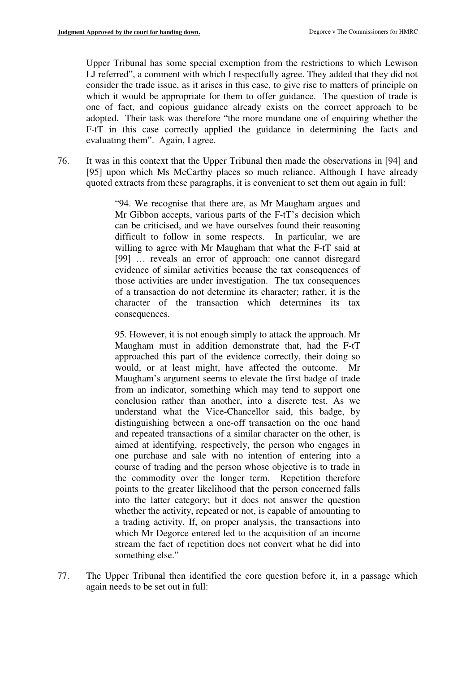Upper Tribunal has some special exemption from the restrictions to which Lewison LJ referred", a comment with which I respectfully agree. They added that they did not consider the trade issue, as it arises in this case, to give rise to matters of principle on which it would be appropriate for them to offer guidance. The question of trade is one of fact, and copious guidance already exists on the correct approach to be adopted. Their task was therefore "the more mundane one of enquiring whether the F-tT in this case correctly applied the guidance in determining the facts and evaluating them". Again, I agree.

76. It was in this context that the Upper Tribunal then made the observations in [94] and [95] upon which Ms McCarthy places so much reliance. Although I have already quoted extracts from these paragraphs, it is convenient to set them out again in full:

> "94. We recognise that there are, as Mr Maugham argues and Mr Gibbon accepts, various parts of the F-tT's decision which can be criticised, and we have ourselves found their reasoning difficult to follow in some respects. In particular, we are willing to agree with Mr Maugham that what the F-tT said at [99] … reveals an error of approach: one cannot disregard evidence of similar activities because the tax consequences of those activities are under investigation. The tax consequences of a transaction do not determine its character; rather, it is the character of the transaction which determines its tax consequences.

> 95. However, it is not enough simply to attack the approach. Mr Maugham must in addition demonstrate that, had the F-tT approached this part of the evidence correctly, their doing so would, or at least might, have affected the outcome. Mr Maugham's argument seems to elevate the first badge of trade from an indicator, something which may tend to support one conclusion rather than another, into a discrete test. As we understand what the Vice-Chancellor said, this badge, by distinguishing between a one-off transaction on the one hand and repeated transactions of a similar character on the other, is aimed at identifying, respectively, the person who engages in one purchase and sale with no intention of entering into a course of trading and the person whose objective is to trade in the commodity over the longer term. Repetition therefore points to the greater likelihood that the person concerned falls into the latter category; but it does not answer the question whether the activity, repeated or not, is capable of amounting to a trading activity. If, on proper analysis, the transactions into which Mr Degorce entered led to the acquisition of an income stream the fact of repetition does not convert what he did into something else."

77. The Upper Tribunal then identified the core question before it, in a passage which again needs to be set out in full: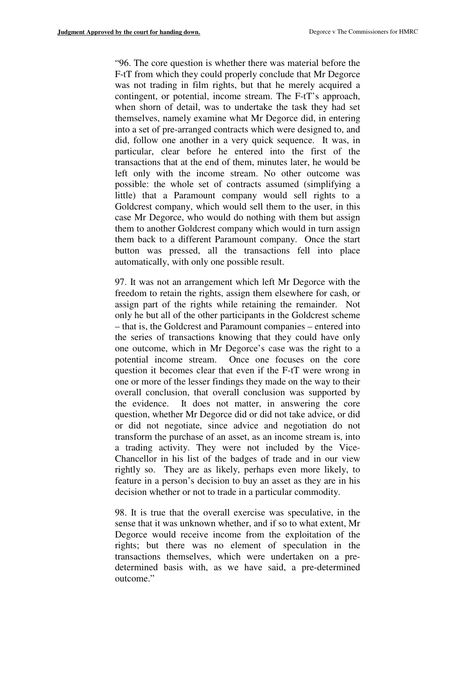"96. The core question is whether there was material before the F-tT from which they could properly conclude that Mr Degorce was not trading in film rights, but that he merely acquired a contingent, or potential, income stream. The F-tT's approach, when shorn of detail, was to undertake the task they had set themselves, namely examine what Mr Degorce did, in entering into a set of pre-arranged contracts which were designed to, and did, follow one another in a very quick sequence. It was, in particular, clear before he entered into the first of the transactions that at the end of them, minutes later, he would be left only with the income stream. No other outcome was possible: the whole set of contracts assumed (simplifying a little) that a Paramount company would sell rights to a Goldcrest company, which would sell them to the user, in this case Mr Degorce, who would do nothing with them but assign them to another Goldcrest company which would in turn assign them back to a different Paramount company. Once the start button was pressed, all the transactions fell into place automatically, with only one possible result.

97. It was not an arrangement which left Mr Degorce with the freedom to retain the rights, assign them elsewhere for cash, or assign part of the rights while retaining the remainder. Not only he but all of the other participants in the Goldcrest scheme – that is, the Goldcrest and Paramount companies – entered into the series of transactions knowing that they could have only one outcome, which in Mr Degorce's case was the right to a potential income stream. Once one focuses on the core question it becomes clear that even if the F-tT were wrong in one or more of the lesser findings they made on the way to their overall conclusion, that overall conclusion was supported by the evidence. It does not matter, in answering the core question, whether Mr Degorce did or did not take advice, or did or did not negotiate, since advice and negotiation do not transform the purchase of an asset, as an income stream is, into a trading activity. They were not included by the Vice-Chancellor in his list of the badges of trade and in our view rightly so. They are as likely, perhaps even more likely, to feature in a person's decision to buy an asset as they are in his decision whether or not to trade in a particular commodity.

98. It is true that the overall exercise was speculative, in the sense that it was unknown whether, and if so to what extent, Mr Degorce would receive income from the exploitation of the rights; but there was no element of speculation in the transactions themselves, which were undertaken on a predetermined basis with, as we have said, a pre-determined outcome."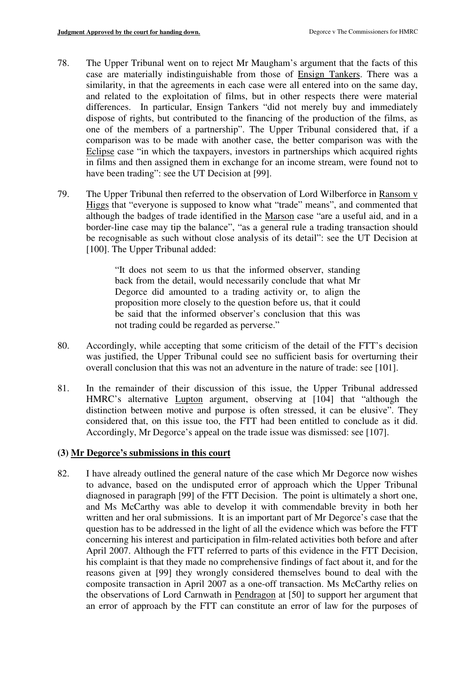- 78. The Upper Tribunal went on to reject Mr Maugham's argument that the facts of this case are materially indistinguishable from those of Ensign Tankers. There was a similarity, in that the agreements in each case were all entered into on the same day, and related to the exploitation of films, but in other respects there were material differences. In particular, Ensign Tankers "did not merely buy and immediately dispose of rights, but contributed to the financing of the production of the films, as one of the members of a partnership". The Upper Tribunal considered that, if a comparison was to be made with another case, the better comparison was with the Eclipse case "in which the taxpayers, investors in partnerships which acquired rights in films and then assigned them in exchange for an income stream, were found not to have been trading": see the UT Decision at [99].
- 79. The Upper Tribunal then referred to the observation of Lord Wilberforce in Ransom v Higgs that "everyone is supposed to know what "trade" means", and commented that although the badges of trade identified in the Marson case "are a useful aid, and in a border-line case may tip the balance", "as a general rule a trading transaction should be recognisable as such without close analysis of its detail": see the UT Decision at [100]. The Upper Tribunal added:

"It does not seem to us that the informed observer, standing back from the detail, would necessarily conclude that what Mr Degorce did amounted to a trading activity or, to align the proposition more closely to the question before us, that it could be said that the informed observer's conclusion that this was not trading could be regarded as perverse."

- 80. Accordingly, while accepting that some criticism of the detail of the FTT's decision was justified, the Upper Tribunal could see no sufficient basis for overturning their overall conclusion that this was not an adventure in the nature of trade: see [101].
- 81. In the remainder of their discussion of this issue, the Upper Tribunal addressed HMRC's alternative Lupton argument, observing at [104] that "although the distinction between motive and purpose is often stressed, it can be elusive". They considered that, on this issue too, the FTT had been entitled to conclude as it did. Accordingly, Mr Degorce's appeal on the trade issue was dismissed: see [107].

# **(3) Mr Degorce's submissions in this court**

82. I have already outlined the general nature of the case which Mr Degorce now wishes to advance, based on the undisputed error of approach which the Upper Tribunal diagnosed in paragraph [99] of the FTT Decision. The point is ultimately a short one, and Ms McCarthy was able to develop it with commendable brevity in both her written and her oral submissions. It is an important part of Mr Degorce's case that the question has to be addressed in the light of all the evidence which was before the FTT concerning his interest and participation in film-related activities both before and after April 2007. Although the FTT referred to parts of this evidence in the FTT Decision, his complaint is that they made no comprehensive findings of fact about it, and for the reasons given at [99] they wrongly considered themselves bound to deal with the composite transaction in April 2007 as a one-off transaction. Ms McCarthy relies on the observations of Lord Carnwath in Pendragon at [50] to support her argument that an error of approach by the FTT can constitute an error of law for the purposes of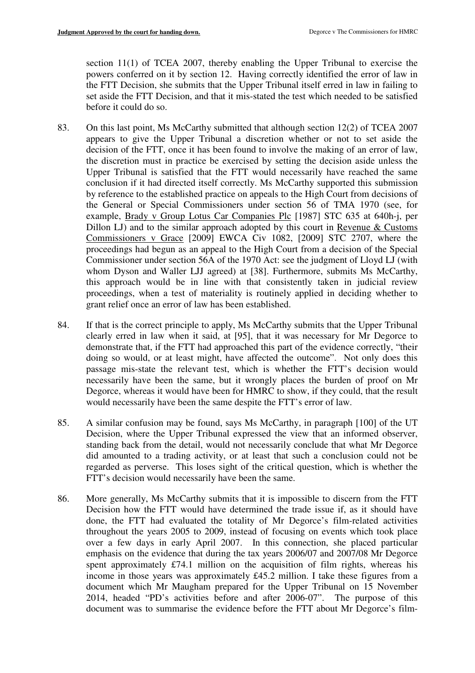section 11(1) of TCEA 2007, thereby enabling the Upper Tribunal to exercise the powers conferred on it by section 12. Having correctly identified the error of law in the FTT Decision, she submits that the Upper Tribunal itself erred in law in failing to set aside the FTT Decision, and that it mis-stated the test which needed to be satisfied before it could do so.

- 83. On this last point, Ms McCarthy submitted that although section 12(2) of TCEA 2007 appears to give the Upper Tribunal a discretion whether or not to set aside the decision of the FTT, once it has been found to involve the making of an error of law, the discretion must in practice be exercised by setting the decision aside unless the Upper Tribunal is satisfied that the FTT would necessarily have reached the same conclusion if it had directed itself correctly. Ms McCarthy supported this submission by reference to the established practice on appeals to the High Court from decisions of the General or Special Commissioners under section 56 of TMA 1970 (see, for example, Brady v Group Lotus Car Companies Plc [1987] STC 635 at 640h-j, per Dillon LJ) and to the similar approach adopted by this court in Revenue & Customs Commissioners v Grace [2009] EWCA Civ 1082, [2009] STC 2707, where the proceedings had begun as an appeal to the High Court from a decision of the Special Commissioner under section 56A of the 1970 Act: see the judgment of Lloyd LJ (with whom Dyson and Waller LJJ agreed) at [38]. Furthermore, submits Ms McCarthy, this approach would be in line with that consistently taken in judicial review proceedings, when a test of materiality is routinely applied in deciding whether to grant relief once an error of law has been established.
- 84. If that is the correct principle to apply, Ms McCarthy submits that the Upper Tribunal clearly erred in law when it said, at [95], that it was necessary for Mr Degorce to demonstrate that, if the FTT had approached this part of the evidence correctly, "their doing so would, or at least might, have affected the outcome". Not only does this passage mis-state the relevant test, which is whether the FTT's decision would necessarily have been the same, but it wrongly places the burden of proof on Mr Degorce, whereas it would have been for HMRC to show, if they could, that the result would necessarily have been the same despite the FTT's error of law.
- 85. A similar confusion may be found, says Ms McCarthy, in paragraph [100] of the UT Decision, where the Upper Tribunal expressed the view that an informed observer, standing back from the detail, would not necessarily conclude that what Mr Degorce did amounted to a trading activity, or at least that such a conclusion could not be regarded as perverse. This loses sight of the critical question, which is whether the FTT's decision would necessarily have been the same.
- 86. More generally, Ms McCarthy submits that it is impossible to discern from the FTT Decision how the FTT would have determined the trade issue if, as it should have done, the FTT had evaluated the totality of Mr Degorce's film-related activities throughout the years 2005 to 2009, instead of focusing on events which took place over a few days in early April 2007. In this connection, she placed particular emphasis on the evidence that during the tax years 2006/07 and 2007/08 Mr Degorce spent approximately £74.1 million on the acquisition of film rights, whereas his income in those years was approximately £45.2 million. I take these figures from a document which Mr Maugham prepared for the Upper Tribunal on 15 November 2014, headed "PD's activities before and after 2006-07". The purpose of this document was to summarise the evidence before the FTT about Mr Degorce's film-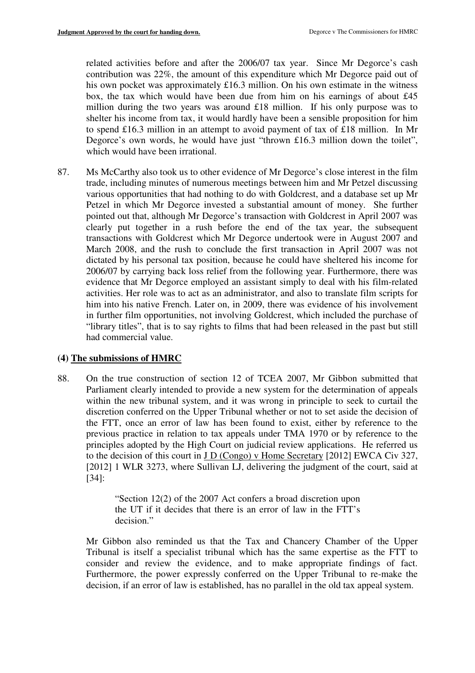related activities before and after the 2006/07 tax year. Since Mr Degorce's cash contribution was 22%, the amount of this expenditure which Mr Degorce paid out of his own pocket was approximately £16.3 million. On his own estimate in the witness box, the tax which would have been due from him on his earnings of about £45 million during the two years was around £18 million. If his only purpose was to shelter his income from tax, it would hardly have been a sensible proposition for him to spend £16.3 million in an attempt to avoid payment of tax of £18 million. In Mr Degorce's own words, he would have just "thrown £16.3 million down the toilet", which would have been irrational.

87. Ms McCarthy also took us to other evidence of Mr Degorce's close interest in the film trade, including minutes of numerous meetings between him and Mr Petzel discussing various opportunities that had nothing to do with Goldcrest, and a database set up Mr Petzel in which Mr Degorce invested a substantial amount of money. She further pointed out that, although Mr Degorce's transaction with Goldcrest in April 2007 was clearly put together in a rush before the end of the tax year, the subsequent transactions with Goldcrest which Mr Degorce undertook were in August 2007 and March 2008, and the rush to conclude the first transaction in April 2007 was not dictated by his personal tax position, because he could have sheltered his income for 2006/07 by carrying back loss relief from the following year. Furthermore, there was evidence that Mr Degorce employed an assistant simply to deal with his film-related activities. Her role was to act as an administrator, and also to translate film scripts for him into his native French. Later on, in 2009, there was evidence of his involvement in further film opportunities, not involving Goldcrest, which included the purchase of "library titles", that is to say rights to films that had been released in the past but still had commercial value.

## **(4) The submissions of HMRC**

88. On the true construction of section 12 of TCEA 2007, Mr Gibbon submitted that Parliament clearly intended to provide a new system for the determination of appeals within the new tribunal system, and it was wrong in principle to seek to curtail the discretion conferred on the Upper Tribunal whether or not to set aside the decision of the FTT, once an error of law has been found to exist, either by reference to the previous practice in relation to tax appeals under TMA 1970 or by reference to the principles adopted by the High Court on judicial review applications. He referred us to the decision of this court in J D (Congo) v Home Secretary [2012] EWCA Civ 327, [2012] 1 WLR 3273, where Sullivan LJ, delivering the judgment of the court, said at [34]:

> "Section 12(2) of the 2007 Act confers a broad discretion upon the UT if it decides that there is an error of law in the FTT's decision."

Mr Gibbon also reminded us that the Tax and Chancery Chamber of the Upper Tribunal is itself a specialist tribunal which has the same expertise as the FTT to consider and review the evidence, and to make appropriate findings of fact. Furthermore, the power expressly conferred on the Upper Tribunal to re-make the decision, if an error of law is established, has no parallel in the old tax appeal system.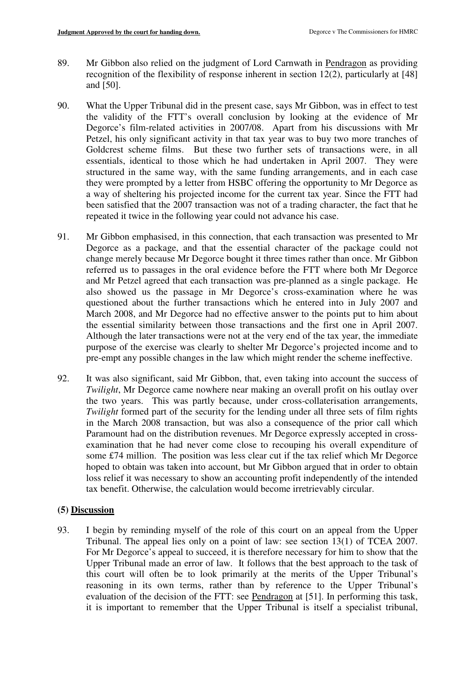- 89. Mr Gibbon also relied on the judgment of Lord Carnwath in Pendragon as providing recognition of the flexibility of response inherent in section 12(2), particularly at [48] and [50].
- 90. What the Upper Tribunal did in the present case, says Mr Gibbon, was in effect to test the validity of the FTT's overall conclusion by looking at the evidence of Mr Degorce's film-related activities in 2007/08. Apart from his discussions with Mr Petzel, his only significant activity in that tax year was to buy two more tranches of Goldcrest scheme films. But these two further sets of transactions were, in all essentials, identical to those which he had undertaken in April 2007. They were structured in the same way, with the same funding arrangements, and in each case they were prompted by a letter from HSBC offering the opportunity to Mr Degorce as a way of sheltering his projected income for the current tax year. Since the FTT had been satisfied that the 2007 transaction was not of a trading character, the fact that he repeated it twice in the following year could not advance his case.
- 91. Mr Gibbon emphasised, in this connection, that each transaction was presented to Mr Degorce as a package, and that the essential character of the package could not change merely because Mr Degorce bought it three times rather than once. Mr Gibbon referred us to passages in the oral evidence before the FTT where both Mr Degorce and Mr Petzel agreed that each transaction was pre-planned as a single package. He also showed us the passage in Mr Degorce's cross-examination where he was questioned about the further transactions which he entered into in July 2007 and March 2008, and Mr Degorce had no effective answer to the points put to him about the essential similarity between those transactions and the first one in April 2007. Although the later transactions were not at the very end of the tax year, the immediate purpose of the exercise was clearly to shelter Mr Degorce's projected income and to pre-empt any possible changes in the law which might render the scheme ineffective.
- 92. It was also significant, said Mr Gibbon, that, even taking into account the success of *Twilight*, Mr Degorce came nowhere near making an overall profit on his outlay over the two years. This was partly because, under cross-collaterisation arrangements, *Twilight* formed part of the security for the lending under all three sets of film rights in the March 2008 transaction, but was also a consequence of the prior call which Paramount had on the distribution revenues. Mr Degorce expressly accepted in crossexamination that he had never come close to recouping his overall expenditure of some £74 million. The position was less clear cut if the tax relief which Mr Degorce hoped to obtain was taken into account, but Mr Gibbon argued that in order to obtain loss relief it was necessary to show an accounting profit independently of the intended tax benefit. Otherwise, the calculation would become irretrievably circular.

## **(5) Discussion**

93. I begin by reminding myself of the role of this court on an appeal from the Upper Tribunal. The appeal lies only on a point of law: see section 13(1) of TCEA 2007. For Mr Degorce's appeal to succeed, it is therefore necessary for him to show that the Upper Tribunal made an error of law. It follows that the best approach to the task of this court will often be to look primarily at the merits of the Upper Tribunal's reasoning in its own terms, rather than by reference to the Upper Tribunal's evaluation of the decision of the FTT: see Pendragon at [51]. In performing this task, it is important to remember that the Upper Tribunal is itself a specialist tribunal,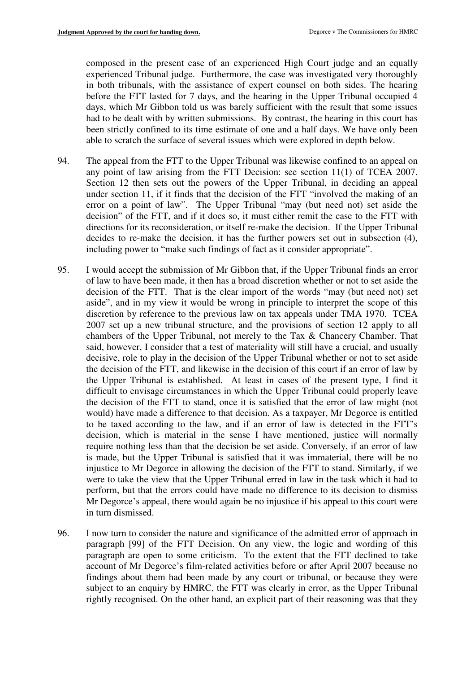composed in the present case of an experienced High Court judge and an equally experienced Tribunal judge. Furthermore, the case was investigated very thoroughly in both tribunals, with the assistance of expert counsel on both sides. The hearing before the FTT lasted for 7 days, and the hearing in the Upper Tribunal occupied 4 days, which Mr Gibbon told us was barely sufficient with the result that some issues had to be dealt with by written submissions. By contrast, the hearing in this court has been strictly confined to its time estimate of one and a half days. We have only been able to scratch the surface of several issues which were explored in depth below.

- 94. The appeal from the FTT to the Upper Tribunal was likewise confined to an appeal on any point of law arising from the FTT Decision: see section 11(1) of TCEA 2007. Section 12 then sets out the powers of the Upper Tribunal, in deciding an appeal under section 11, if it finds that the decision of the FTT "involved the making of an error on a point of law". The Upper Tribunal "may (but need not) set aside the decision" of the FTT, and if it does so, it must either remit the case to the FTT with directions for its reconsideration, or itself re-make the decision. If the Upper Tribunal decides to re-make the decision, it has the further powers set out in subsection (4), including power to "make such findings of fact as it consider appropriate".
- 95. I would accept the submission of Mr Gibbon that, if the Upper Tribunal finds an error of law to have been made, it then has a broad discretion whether or not to set aside the decision of the FTT. That is the clear import of the words "may (but need not) set aside", and in my view it would be wrong in principle to interpret the scope of this discretion by reference to the previous law on tax appeals under TMA 1970. TCEA 2007 set up a new tribunal structure, and the provisions of section 12 apply to all chambers of the Upper Tribunal, not merely to the Tax & Chancery Chamber. That said, however, I consider that a test of materiality will still have a crucial, and usually decisive, role to play in the decision of the Upper Tribunal whether or not to set aside the decision of the FTT, and likewise in the decision of this court if an error of law by the Upper Tribunal is established. At least in cases of the present type, I find it difficult to envisage circumstances in which the Upper Tribunal could properly leave the decision of the FTT to stand, once it is satisfied that the error of law might (not would) have made a difference to that decision. As a taxpayer, Mr Degorce is entitled to be taxed according to the law, and if an error of law is detected in the FTT's decision, which is material in the sense I have mentioned, justice will normally require nothing less than that the decision be set aside. Conversely, if an error of law is made, but the Upper Tribunal is satisfied that it was immaterial, there will be no injustice to Mr Degorce in allowing the decision of the FTT to stand. Similarly, if we were to take the view that the Upper Tribunal erred in law in the task which it had to perform, but that the errors could have made no difference to its decision to dismiss Mr Degorce's appeal, there would again be no injustice if his appeal to this court were in turn dismissed.
- 96. I now turn to consider the nature and significance of the admitted error of approach in paragraph [99] of the FTT Decision. On any view, the logic and wording of this paragraph are open to some criticism. To the extent that the FTT declined to take account of Mr Degorce's film-related activities before or after April 2007 because no findings about them had been made by any court or tribunal, or because they were subject to an enquiry by HMRC, the FTT was clearly in error, as the Upper Tribunal rightly recognised. On the other hand, an explicit part of their reasoning was that they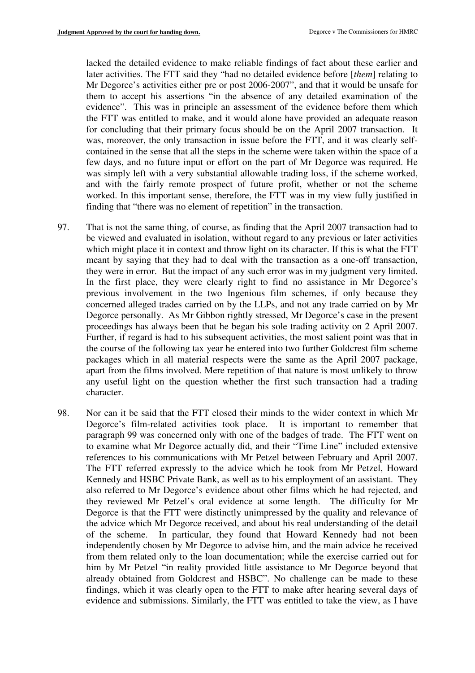lacked the detailed evidence to make reliable findings of fact about these earlier and later activities. The FTT said they "had no detailed evidence before [*them*] relating to Mr Degorce's activities either pre or post 2006-2007", and that it would be unsafe for them to accept his assertions "in the absence of any detailed examination of the evidence". This was in principle an assessment of the evidence before them which the FTT was entitled to make, and it would alone have provided an adequate reason for concluding that their primary focus should be on the April 2007 transaction. It was, moreover, the only transaction in issue before the FTT, and it was clearly selfcontained in the sense that all the steps in the scheme were taken within the space of a few days, and no future input or effort on the part of Mr Degorce was required. He was simply left with a very substantial allowable trading loss, if the scheme worked, and with the fairly remote prospect of future profit, whether or not the scheme worked. In this important sense, therefore, the FTT was in my view fully justified in finding that "there was no element of repetition" in the transaction.

- 97. That is not the same thing, of course, as finding that the April 2007 transaction had to be viewed and evaluated in isolation, without regard to any previous or later activities which might place it in context and throw light on its character. If this is what the FTT meant by saying that they had to deal with the transaction as a one-off transaction, they were in error. But the impact of any such error was in my judgment very limited. In the first place, they were clearly right to find no assistance in Mr Degorce's previous involvement in the two Ingenious film schemes, if only because they concerned alleged trades carried on by the LLPs, and not any trade carried on by Mr Degorce personally. As Mr Gibbon rightly stressed, Mr Degorce's case in the present proceedings has always been that he began his sole trading activity on 2 April 2007. Further, if regard is had to his subsequent activities, the most salient point was that in the course of the following tax year he entered into two further Goldcrest film scheme packages which in all material respects were the same as the April 2007 package, apart from the films involved. Mere repetition of that nature is most unlikely to throw any useful light on the question whether the first such transaction had a trading character.
- 98. Nor can it be said that the FTT closed their minds to the wider context in which Mr Degorce's film-related activities took place. It is important to remember that paragraph 99 was concerned only with one of the badges of trade. The FTT went on to examine what Mr Degorce actually did, and their "Time Line" included extensive references to his communications with Mr Petzel between February and April 2007. The FTT referred expressly to the advice which he took from Mr Petzel, Howard Kennedy and HSBC Private Bank, as well as to his employment of an assistant. They also referred to Mr Degorce's evidence about other films which he had rejected, and they reviewed Mr Petzel's oral evidence at some length. The difficulty for Mr Degorce is that the FTT were distinctly unimpressed by the quality and relevance of the advice which Mr Degorce received, and about his real understanding of the detail of the scheme. In particular, they found that Howard Kennedy had not been independently chosen by Mr Degorce to advise him, and the main advice he received from them related only to the loan documentation; while the exercise carried out for him by Mr Petzel "in reality provided little assistance to Mr Degorce beyond that already obtained from Goldcrest and HSBC". No challenge can be made to these findings, which it was clearly open to the FTT to make after hearing several days of evidence and submissions. Similarly, the FTT was entitled to take the view, as I have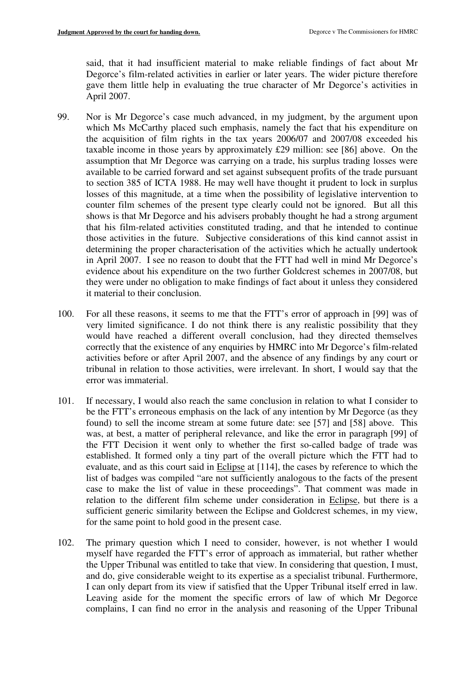said, that it had insufficient material to make reliable findings of fact about Mr Degorce's film-related activities in earlier or later years. The wider picture therefore gave them little help in evaluating the true character of Mr Degorce's activities in April 2007.

- 99. Nor is Mr Degorce's case much advanced, in my judgment, by the argument upon which Ms McCarthy placed such emphasis, namely the fact that his expenditure on the acquisition of film rights in the tax years 2006/07 and 2007/08 exceeded his taxable income in those years by approximately £29 million: see [86] above. On the assumption that Mr Degorce was carrying on a trade, his surplus trading losses were available to be carried forward and set against subsequent profits of the trade pursuant to section 385 of ICTA 1988. He may well have thought it prudent to lock in surplus losses of this magnitude, at a time when the possibility of legislative intervention to counter film schemes of the present type clearly could not be ignored. But all this shows is that Mr Degorce and his advisers probably thought he had a strong argument that his film-related activities constituted trading, and that he intended to continue those activities in the future. Subjective considerations of this kind cannot assist in determining the proper characterisation of the activities which he actually undertook in April 2007. I see no reason to doubt that the FTT had well in mind Mr Degorce's evidence about his expenditure on the two further Goldcrest schemes in 2007/08, but they were under no obligation to make findings of fact about it unless they considered it material to their conclusion.
- 100. For all these reasons, it seems to me that the FTT's error of approach in [99] was of very limited significance. I do not think there is any realistic possibility that they would have reached a different overall conclusion, had they directed themselves correctly that the existence of any enquiries by HMRC into Mr Degorce's film-related activities before or after April 2007, and the absence of any findings by any court or tribunal in relation to those activities, were irrelevant. In short, I would say that the error was immaterial.
- 101. If necessary, I would also reach the same conclusion in relation to what I consider to be the FTT's erroneous emphasis on the lack of any intention by Mr Degorce (as they found) to sell the income stream at some future date: see [57] and [58] above. This was, at best, a matter of peripheral relevance, and like the error in paragraph [99] of the FTT Decision it went only to whether the first so-called badge of trade was established. It formed only a tiny part of the overall picture which the FTT had to evaluate, and as this court said in Eclipse at [114], the cases by reference to which the list of badges was compiled "are not sufficiently analogous to the facts of the present case to make the list of value in these proceedings". That comment was made in relation to the different film scheme under consideration in Eclipse, but there is a sufficient generic similarity between the Eclipse and Goldcrest schemes, in my view, for the same point to hold good in the present case.
- 102. The primary question which I need to consider, however, is not whether I would myself have regarded the FTT's error of approach as immaterial, but rather whether the Upper Tribunal was entitled to take that view. In considering that question, I must, and do, give considerable weight to its expertise as a specialist tribunal. Furthermore, I can only depart from its view if satisfied that the Upper Tribunal itself erred in law. Leaving aside for the moment the specific errors of law of which Mr Degorce complains, I can find no error in the analysis and reasoning of the Upper Tribunal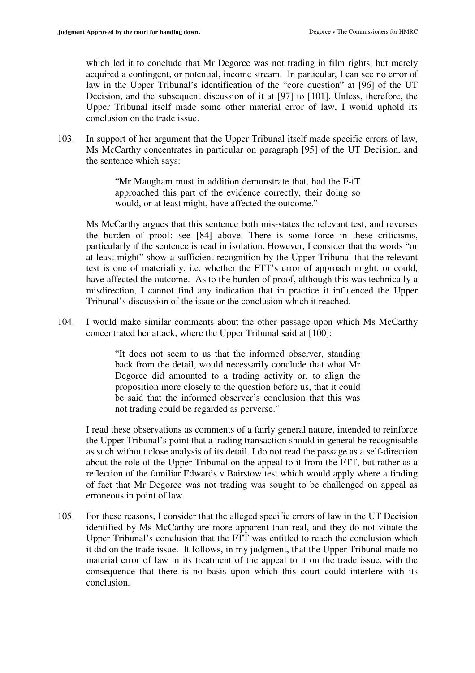which led it to conclude that Mr Degorce was not trading in film rights, but merely acquired a contingent, or potential, income stream. In particular, I can see no error of law in the Upper Tribunal's identification of the "core question" at [96] of the UT Decision, and the subsequent discussion of it at [97] to [101]. Unless, therefore, the Upper Tribunal itself made some other material error of law, I would uphold its conclusion on the trade issue.

103. In support of her argument that the Upper Tribunal itself made specific errors of law, Ms McCarthy concentrates in particular on paragraph [95] of the UT Decision, and the sentence which says:

> "Mr Maugham must in addition demonstrate that, had the F-tT approached this part of the evidence correctly, their doing so would, or at least might, have affected the outcome."

Ms McCarthy argues that this sentence both mis-states the relevant test, and reverses the burden of proof: see [84] above. There is some force in these criticisms, particularly if the sentence is read in isolation. However, I consider that the words "or at least might" show a sufficient recognition by the Upper Tribunal that the relevant test is one of materiality, i.e. whether the FTT's error of approach might, or could, have affected the outcome. As to the burden of proof, although this was technically a misdirection, I cannot find any indication that in practice it influenced the Upper Tribunal's discussion of the issue or the conclusion which it reached.

104. I would make similar comments about the other passage upon which Ms McCarthy concentrated her attack, where the Upper Tribunal said at [100]:

> "It does not seem to us that the informed observer, standing back from the detail, would necessarily conclude that what Mr Degorce did amounted to a trading activity or, to align the proposition more closely to the question before us, that it could be said that the informed observer's conclusion that this was not trading could be regarded as perverse."

I read these observations as comments of a fairly general nature, intended to reinforce the Upper Tribunal's point that a trading transaction should in general be recognisable as such without close analysis of its detail. I do not read the passage as a self-direction about the role of the Upper Tribunal on the appeal to it from the FTT, but rather as a reflection of the familiar Edwards v Bairstow test which would apply where a finding of fact that Mr Degorce was not trading was sought to be challenged on appeal as erroneous in point of law.

105. For these reasons, I consider that the alleged specific errors of law in the UT Decision identified by Ms McCarthy are more apparent than real, and they do not vitiate the Upper Tribunal's conclusion that the FTT was entitled to reach the conclusion which it did on the trade issue. It follows, in my judgment, that the Upper Tribunal made no material error of law in its treatment of the appeal to it on the trade issue, with the consequence that there is no basis upon which this court could interfere with its conclusion.